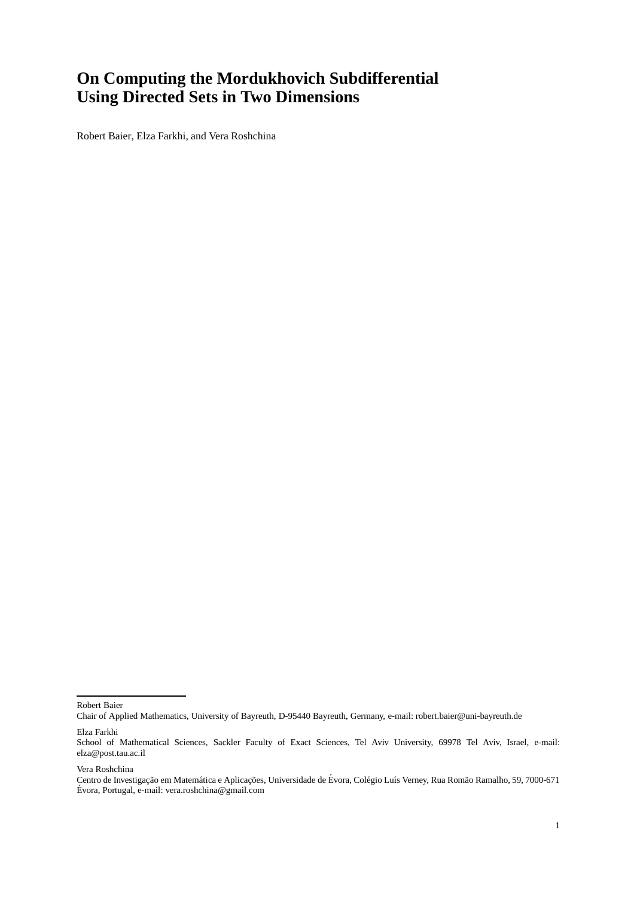# **On Computing the Mordukhovich Subdifferential Using Directed Sets in Two Dimensions**

Robert Baier, Elza Farkhi, and Vera Roshchina

Robert Baier

Chair of Applied Mathematics, University of Bayreuth, D-95440 Bayreuth, Germany, e-mail: robert.baier@uni-bayreuth.de

Elza Farkhi

Vera Roshchina

School of Mathematical Sciences, Sackler Faculty of Exact Sciences, Tel Aviv University, 69978 Tel Aviv, Israel, e-mail: elza@post.tau.ac.il

Centro de Investigação em Matemática e Aplicações, Universidade de Évora, Colégio Luís Verney, Rua Romão Ramalho, 59, 7000-671 Evora, Portugal, e-mail: vera.roshchina@gmail.com ´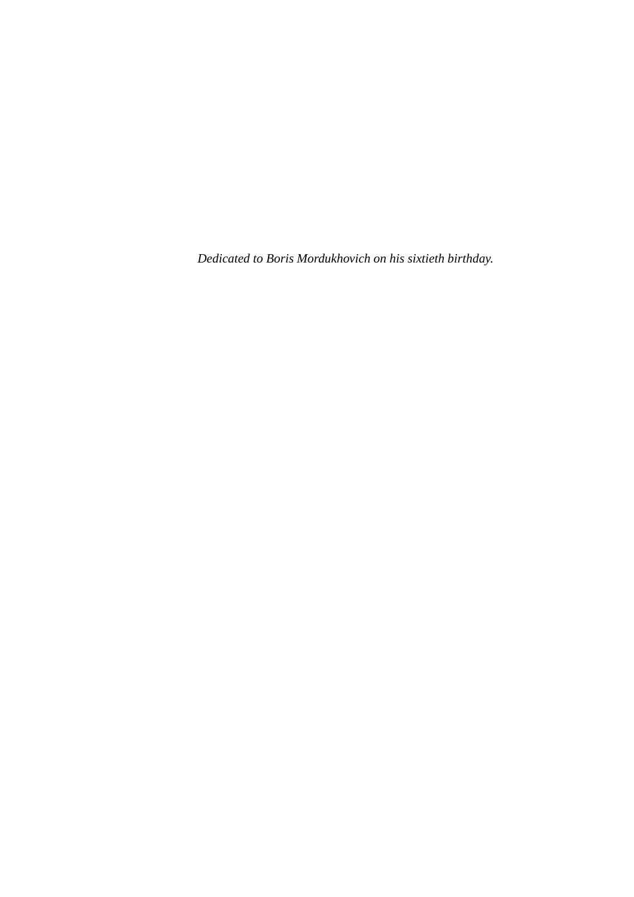*Dedicated to Boris Mordukhovich on his sixtieth birthday.*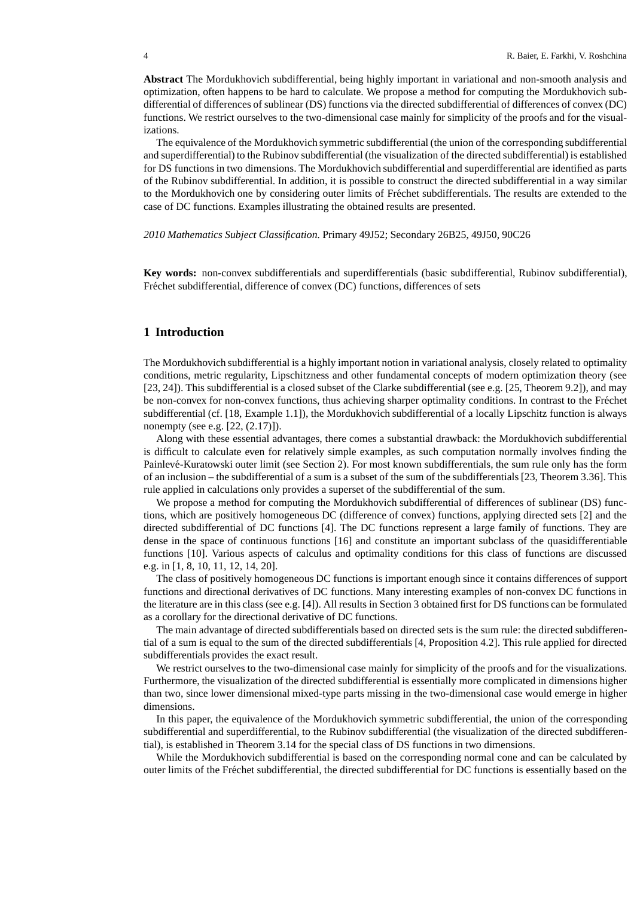**Abstract** The Mordukhovich subdifferential, being highly important in variational and non-smooth analysis and optimization, often happens to be hard to calculate. We propose a method for computing the Mordukhovich subdifferential of differences of sublinear (DS) functions via the directed subdifferential of differences of convex (DC) functions. We restrict ourselves to the two-dimensional case mainly for simplicity of the proofs and for the visualizations.

The equivalence of the Mordukhovich symmetric subdifferential (the union of the corresponding subdifferential and superdifferential) to the Rubinov subdifferential (the visualization of the directed subdifferential) is established for DS functions in two dimensions. The Mordukhovich subdifferential and superdifferential are identified as parts of the Rubinov subdifferential. In addition, it is possible to construct the directed subdifferential in a way similar to the Mordukhovich one by considering outer limits of Fréchet subdifferentials. The results are extended to the case of DC functions. Examples illustrating the obtained results are presented.

*2010 Mathematics Subject Classification.* Primary 49J52; Secondary 26B25, 49J50, 90C26

**Key words:** non-convex subdifferentials and superdifferentials (basic subdifferential, Rubinov subdifferential), Fréchet subdifferential, difference of convex (DC) functions, differences of sets

## **1 Introduction**

The Mordukhovich subdifferential is a highly important notion in variational analysis, closely related to optimality conditions, metric regularity, Lipschitzness and other fundamental concepts of modern optimization theory (see [23, 24]). This subdifferential is a closed subset of the Clarke subdifferential (see e.g. [25, Theorem 9.2]), and may be non-convex for non-convex functions, thus achieving sharper optimality conditions. In contrast to the Fréchet subdifferential (cf. [18, Example 1.1]), the Mordukhovich subdifferential of a locally Lipschitz function is always nonempty (see e.g. [22, (2.17)]).

Along with these essential advantages, there comes a substantial drawback: the Mordukhovich subdifferential is difficult to calculate even for relatively simple examples, as such computation normally involves finding the Painlevé-Kuratowski outer limit (see Section 2). For most known subdifferentials, the sum rule only has the form of an inclusion – the subdifferential of a sum is a subset of the sum of the subdifferentials [23, Theorem 3.36]. This rule applied in calculations only provides a superset of the subdifferential of the sum.

We propose a method for computing the Mordukhovich subdifferential of differences of sublinear (DS) functions, which are positively homogeneous DC (difference of convex) functions, applying directed sets [2] and the directed subdifferential of DC functions [4]. The DC functions represent a large family of functions. They are dense in the space of continuous functions [16] and constitute an important subclass of the quasidifferentiable functions [10]. Various aspects of calculus and optimality conditions for this class of functions are discussed e.g. in [1, 8, 10, 11, 12, 14, 20].

The class of positively homogeneous DC functions is important enough since it contains differences of support functions and directional derivatives of DC functions. Many interesting examples of non-convex DC functions in the literature are in this class (see e.g. [4]). All results in Section 3 obtained first for DS functions can be formulated as a corollary for the directional derivative of DC functions.

The main advantage of directed subdifferentials based on directed sets is the sum rule: the directed subdifferential of a sum is equal to the sum of the directed subdifferentials [4, Proposition 4.2]. This rule applied for directed subdifferentials provides the exact result.

We restrict ourselves to the two-dimensional case mainly for simplicity of the proofs and for the visualizations. Furthermore, the visualization of the directed subdifferential is essentially more complicated in dimensions higher than two, since lower dimensional mixed-type parts missing in the two-dimensional case would emerge in higher dimensions.

In this paper, the equivalence of the Mordukhovich symmetric subdifferential, the union of the corresponding subdifferential and superdifferential, to the Rubinov subdifferential (the visualization of the directed subdifferential), is established in Theorem 3.14 for the special class of DS functions in two dimensions.

While the Mordukhovich subdifferential is based on the corresponding normal cone and can be calculated by outer limits of the Fr´echet subdifferential, the directed subdifferential for DC functions is essentially based on the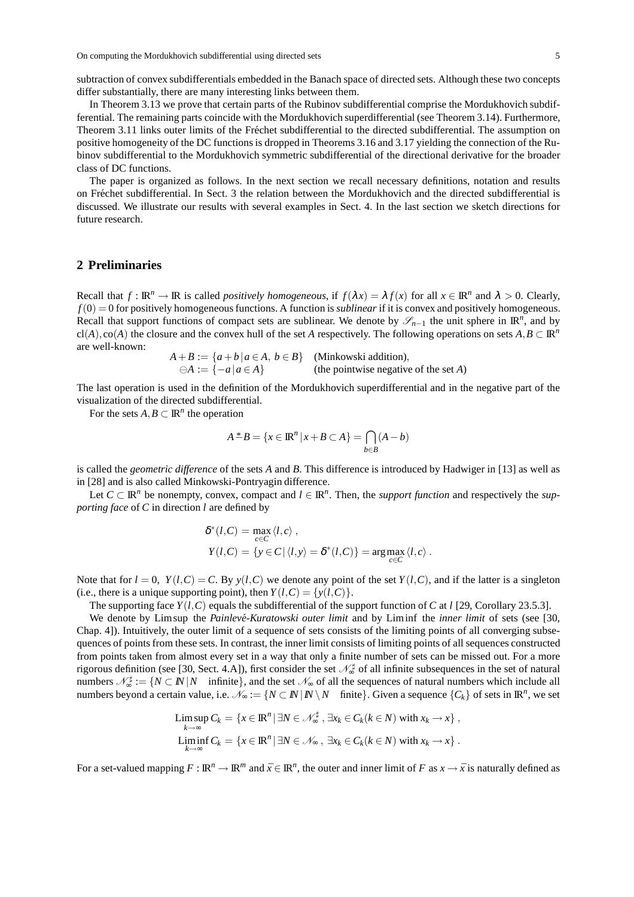subtraction of convex subdifferentials embedded in the Banach space of directed sets. Although these two concepts differ substantially, there are many interesting links between them.

In Theorem 3.13 we prove that certain parts of the Rubinov subdifferential comprise the Mordukhovich subdifferential. The remaining parts coincide with the Mordukhovich superdifferential (see Theorem 3.14). Furthermore, Theorem 3.11 links outer limits of the Fréchet subdifferential to the directed subdifferential. The assumption on positive homogeneity of the DC functions is dropped in Theorems 3.16 and 3.17 yielding the connection of the Rubinov subdifferential to the Mordukhovich symmetric subdifferential of the directional derivative for the broader class of DC functions.

The paper is organized as follows. In the next section we recall necessary definitions, notation and results on Fréchet subdifferential. In Sect. 3 the relation between the Mordukhovich and the directed subdifferential is discussed. We illustrate our results with several examples in Sect. 4. In the last section we sketch directions for future research.

## **2 Preliminaries**

Recall that  $f: \mathbb{R}^n \to \mathbb{R}$  is called *positively homogeneous*, if  $f(\lambda x) = \lambda f(x)$  for all  $x \in \mathbb{R}^n$  and  $\lambda > 0$ . Clearly,  $f(0) = 0$  for positively homogeneous functions. A function is *sublinear* if it is convex and positively homogeneous. Recall that support functions of compact sets are sublinear. We denote by  $\mathscr{S}_{n-1}$  the unit sphere in  $\mathbb{R}^n$ , and by cl(*A*),co(*A*) the closure and the convex hull of the set *A* respectively. The following operations on sets  $A, B \subset \mathbb{R}^n$ are well-known:

$$
A + B := \{a + b \mid a \in A, b \in B\}
$$
 (Minkowski addition),  

$$
\ominus A := \{-a \mid a \in A\}
$$
 (the pointwise negative of the set A)

The last operation is used in the definition of the Mordukhovich superdifferential and in the negative part of the visualization of the directed subdifferential.

For the sets  $A, B \subset \mathbb{R}^n$  the operation

$$
A^*B = \{x \in \mathbb{R}^n \mid x + B \subset A\} = \bigcap_{b \in B} (A - b)
$$

is called the *geometric difference* of the sets *A* and *B*. This difference is introduced by Hadwiger in [13] as well as in [28] and is also called Minkowski-Pontryagin difference.

Let  $C \subset \mathbb{R}^n$  be nonempty, convex, compact and  $l \in \mathbb{R}^n$ . Then, the *support function* and respectively the *supporting face* of *C* in direction *l* are defined by

$$
\delta^*(l, C) = \max_{c \in C} \langle l, c \rangle ,
$$
  
\n
$$
Y(l, C) = \{ y \in C \mid \langle l, y \rangle = \delta^*(l, C) \} = \arg \max_{c \in C} \langle l, c \rangle .
$$

Note that for  $l = 0$ ,  $Y(l, C) = C$ . By  $y(l, C)$  we denote any point of the set  $Y(l, C)$ , and if the latter is a singleton (i.e., there is a unique supporting point), then  $Y(l, C) = \{y(l, C)\}\.$ 

The supporting face  $Y(l, C)$  equals the subdifferential of the support function of *C* at *l* [29, Corollary 23.5.3].

We denote by Limsup the *Painlevé-Kuratowski outer limit* and by Liminf the *inner limit* of sets (see [30, Chap. 4]). Intuitively, the outer limit of a sequence of sets consists of the limiting points of all converging subsequences of points from these sets. In contrast, the inner limit consists of limiting points of all sequences constructed from points taken from almost every set in a way that only a finite number of sets can be missed out. For a more rigorous definition (see [30, Sect. 4.A]), first consider the set  $\mathcal{N}_{\infty}^{\sharp}$  of all infinite subsequences in the set of natural numbers  $\mathcal{N}_{\infty}^{\sharp} := \{ N \subset \mathbb{N} | N \text{ infinite} \}$ , and the set  $\mathcal{N}_{\infty}$  of all the sequences of natural numbers which include all numbers beyond a certain value, i.e.  $\mathcal{N}_{\infty} := \{ N \subset \mathbb{N} \mid \mathbb{N} \setminus N \text{ finite} \}.$  Given a sequence  $\{C_k\}$  of sets in  $\mathbb{R}^n$ , we set

$$
\limsup_{k \to \infty} C_k = \{x \in \mathbb{R}^n \, | \, \exists N \in \mathcal{N}_{\infty}^{\sharp}, \, \exists x_k \in C_k (k \in N) \text{ with } x_k \to x\},\
$$
\n
$$
\liminf_{k \to \infty} C_k = \{x \in \mathbb{R}^n \, | \, \exists N \in \mathcal{N}_{\infty}, \, \exists x_k \in C_k (k \in N) \text{ with } x_k \to x\}.
$$

For a set-valued mapping  $F : \mathbb{R}^n \to \mathbb{R}^m$  and  $\bar{x} \in \mathbb{R}^n$ , the outer and inner limit of F as  $x \to \bar{x}$  is naturally defined as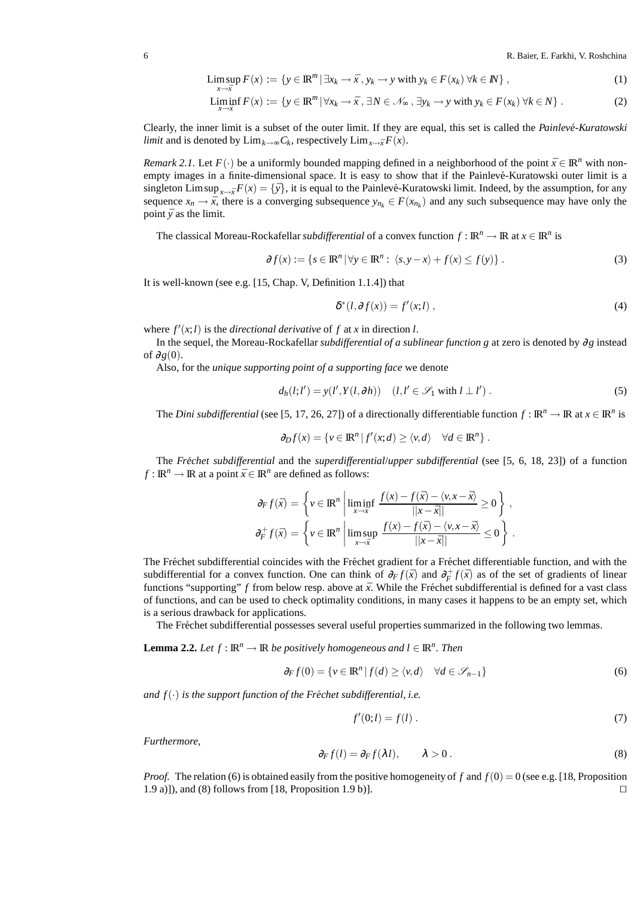6 R. Baier, E. Farkhi, V. Roshchina

$$
\limsup_{x \to \bar{x}} F(x) := \{ y \in \mathbb{R}^m \, | \, \exists x_k \to \bar{x} \, , \, y_k \to y \text{ with } y_k \in F(x_k) \, \forall k \in \mathbb{N} \} \,,\tag{1}
$$

$$
\liminf_{x \to \bar{x}} F(x) := \left\{ y \in \mathbb{R}^m \, | \, \forall x_k \to \bar{x}, \, \exists N \in \mathcal{N}_{\infty}, \, \exists y_k \to y \text{ with } y_k \in F(x_k) \, \forall k \in N \right\}. \tag{2}
$$

Clearly, the inner limit is a subset of the outer limit. If they are equal, this set is called the *Painleve-Kuratowski ´ limit* and is denoted by  $\lim_{k \to \infty} C_k$ , respectively  $\lim_{x \to \bar{x}} F(x)$ .

*Remark 2.1.* Let  $F(\cdot)$  be a uniformly bounded mapping defined in a neighborhood of the point  $\bar{x} \in \mathbb{R}^n$  with nonempty images in a finite-dimensional space. It is easy to show that if the Painlevé-Kuratowski outer limit is a singleton Limsup<sub>*x*→*x*</sub> $F(x) = \{\bar{y}\}\$ , it is equal to the Painlevé-Kuratowski limit. Indeed, by the assumption, for any sequence  $x_n \to \bar{x}$ , there is a converging subsequence  $y_{n_k} \in F(x_{n_k})$  and any such subsequence may have only the point  $\bar{y}$  as the limit.

The classical Moreau-Rockafellar *subdifferential* of a convex function  $f : \mathbb{R}^n \to \mathbb{R}$  at  $x \in \mathbb{R}^n$  is

$$
\partial f(x) := \{ s \in \mathbb{R}^n \mid \forall y \in \mathbb{R}^n : \langle s, y - x \rangle + f(x) \le f(y) \} .
$$
 (3)

It is well-known (see e.g. [15, Chap. V, Definition 1.1.4]) that

$$
\delta^*(l, \partial f(x)) = f'(x; l) \tag{4}
$$

where  $f'(x; l)$  is the *directional derivative* of  $f$  at  $x$  in direction  $l$ .

In the sequel, the Moreau-Rockafellar *subdifferential of a sublinear function g* at zero is denoted by ∂*g* instead of  $\partial g(0)$ .

Also, for the *unique supporting point of a supporting face* we denote

$$
d_h(l;l') = y(l',Y(l,\partial h)) \quad (l,l' \in \mathcal{S}_1 \text{ with } l \perp l'). \tag{5}
$$

The *Dini subdifferential* (see [5, 17, 26, 27]) of a directionally differentiable function  $f : \mathbb{R}^n \to \mathbb{R}$  at  $x \in \mathbb{R}^n$  is

$$
\partial_D f(x) = \{ v \in \mathbb{R}^n \mid f'(x; d) \ge \langle v, d \rangle \quad \forall d \in \mathbb{R}^n \} .
$$

The *Fréchet subdifferential* and the *superdifferential/upper subdifferential* (see [5, 6, 18, 23]) of a function *f* :  $\mathbb{R}^n \to \mathbb{R}$  at a point  $\bar{x} \in \mathbb{R}^n$  are defined as follows:

$$
\partial_F f(\bar{x}) = \left\{ v \in \mathbb{R}^n \middle| \liminf_{x \to \bar{x}} \frac{f(x) - f(\bar{x}) - \langle v, x - \bar{x} \rangle}{||x - \bar{x}||} \ge 0 \right\},
$$
  

$$
\partial_F^+ f(\bar{x}) = \left\{ v \in \mathbb{R}^n \middle| \limsup_{x \to \bar{x}} \frac{f(x) - f(\bar{x}) - \langle v, x - \bar{x} \rangle}{||x - \bar{x}||} \le 0 \right\}.
$$

The Fréchet subdifferential coincides with the Fréchet gradient for a Fréchet differentiable function, and with the subdifferential for a convex function. One can think of  $\partial_F f(\bar{x})$  and  $\partial_F^+ f(\bar{x})$  as of the set of gradients of linear functions "supporting"  $f$  from below resp. above at  $\bar{x}$ . While the Fréchet subdifferential is defined for a vast class of functions, and can be used to check optimality conditions, in many cases it happens to be an empty set, which is a serious drawback for applications.

The Fréchet subdifferential possesses several useful properties summarized in the following two lemmas.

**Lemma 2.2.** *Let*  $f : \mathbb{R}^n \to \mathbb{R}$  *be positively homogeneous and*  $l \in \mathbb{R}^n$ *. Then* 

$$
\partial_F f(0) = \{ v \in \mathbb{R}^n \mid f(d) \ge \langle v, d \rangle \quad \forall d \in \mathcal{S}_{n-1} \}
$$
(6)

*and*  $f(\cdot)$  *is the support function of the Fréchet subdifferential, i.e.* 

$$
f'(0;l) = f(l) \tag{7}
$$

*Furthermore,*

$$
\partial_F f(l) = \partial_F f(\lambda l), \qquad \lambda > 0.
$$
\n(8)

*Proof.* The relation (6) is obtained easily from the positive homogeneity of f and  $f(0) = 0$  (see e.g. [18, Proposition 1.9 a)]), and (8) follows from [18, Proposition 1.9 b)]. ⊓⊔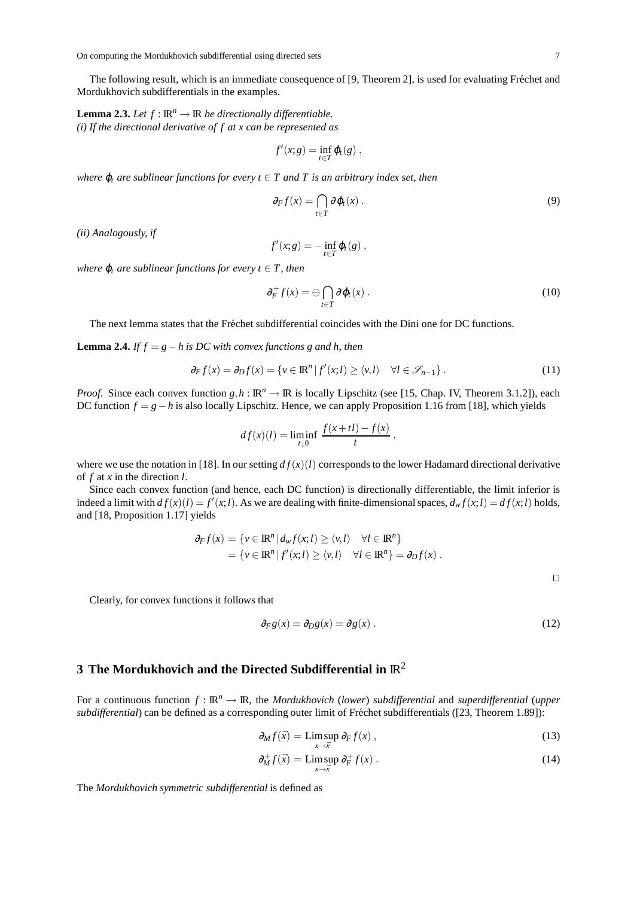The following result, which is an immediate consequence of [9, Theorem 2], is used for evaluating Fréchet and Mordukhovich subdifferentials in the examples.

**Lemma 2.3.** Let  $f : \mathbb{R}^n \to \mathbb{R}$  be directionally differentiable. *(i) If the directional derivative of f at x can be represented as*

$$
f'(x;g)=\inf_{t\in T}\varphi_t(g)\,,
$$

*where*  $\varphi_t$  *are sublinear functions for every*  $t \in T$  *and*  $T$  *is an arbitrary index set, then* 

$$
\partial_F f(x) = \bigcap_{t \in T} \partial \varphi_t(x) \,. \tag{9}
$$

*(ii) Analogously, if*

$$
f'(x;g)=-\inf_{t\in T}\varphi_t(g)\,
$$

*where*  $\varphi_t$  *are sublinear functions for every t*  $\in$  *T, then* 

$$
\partial_F^+ f(x) = \ominus \bigcap_{t \in T} \partial \varphi_t(x) \,. \tag{10}
$$

The next lemma states that the Fréchet subdifferential coincides with the Dini one for DC functions.

**Lemma 2.4.** *If f* =  $g - h$  *is DC with convex functions g and h, then* 

$$
\partial_F f(x) = \partial_D f(x) = \{ v \in \mathbb{R}^n \mid f'(x; l) \ge \langle v, l \rangle \quad \forall l \in \mathcal{S}_{n-1} \}.
$$
\n(11)

*Proof.* Since each convex function  $g, h : \mathbb{R}^n \to \mathbb{R}$  is locally Lipschitz (see [15, Chap. IV, Theorem 3.1.2]), each DC function *f* = *g*−*h* is also locally Lipschitz. Hence, we can apply Proposition 1.16 from [18], which yields

$$
df(x)(l) = \liminf_{t \downarrow 0} \frac{f(x+tl) - f(x)}{t},
$$

where we use the notation in [18]. In our setting  $df(x)(l)$  corresponds to the lower Hadamard directional derivative of *f* at *x* in the direction *l*.

Since each convex function (and hence, each DC function) is directionally differentiable, the limit inferior is indeed a limit with  $df(x)(l) = f'(x; l)$ . As we are dealing with finite-dimensional spaces,  $d_w f(x; l) = df(x; l)$  holds, and [18, Proposition 1.17] yields

$$
\partial_F f(x) = \{ v \in \mathbb{R}^n \mid d_w f(x, l) \ge \langle v, l \rangle \quad \forall l \in \mathbb{R}^n \}
$$
  
= 
$$
\{ v \in \mathbb{R}^n \mid f'(x, l) \ge \langle v, l \rangle \quad \forall l \in \mathbb{R}^n \} = \partial_D f(x) .
$$

⊓⊔

Clearly, for convex functions it follows that

$$
\partial_F g(x) = \partial_D g(x) = \partial g(x) \tag{12}
$$

### **3 The Mordukhovich and the Directed Subdifferential in**  $\mathbb{R}^2$

For a continuous function  $f : \mathbb{R}^n \to \mathbb{R}$ , the *Mordukhovich* (*lower*) *subdifferential* and *superdifferential* (*upper subdifferential*) can be defined as a corresponding outer limit of Fréchet subdifferentials ([23, Theorem 1.89]):

$$
\partial_M f(\bar{x}) = \limsup_{x \to \bar{x}} \partial_F f(x) , \qquad (13)
$$

$$
\partial_M^+ f(\bar{x}) = \limsup_{x \to \bar{x}} \partial_F^+ f(x) \,. \tag{14}
$$

The *Mordukhovich symmetric subdifferential* is defined as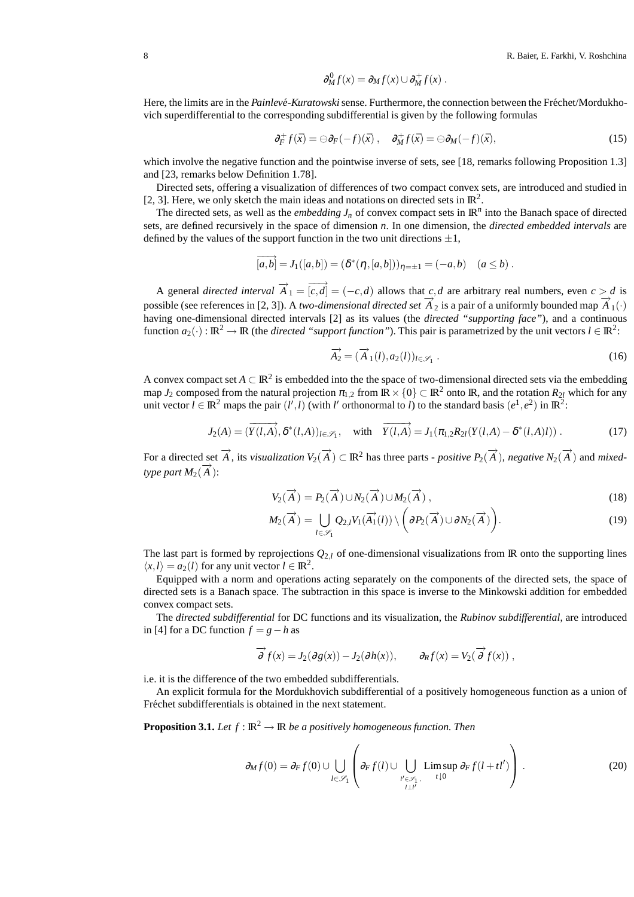$$
\partial_M^0 f(x) = \partial_M f(x) \cup \partial_M^+ f(x) .
$$

Here, the limits are in the *Painlevé-Kuratowski* sense. Furthermore, the connection between the Fréchet/Mordukhovich superdifferential to the corresponding subdifferential is given by the following formulas

$$
\partial_F^+ f(\bar{x}) = \ominus \partial_F(-f)(\bar{x}), \quad \partial_M^+ f(\bar{x}) = \ominus \partial_M(-f)(\bar{x}), \tag{15}
$$

which involve the negative function and the pointwise inverse of sets, see [18, remarks following Proposition 1.3] and [23, remarks below Definition 1.78].

Directed sets, offering a visualization of differences of two compact convex sets, are introduced and studied in [2, 3]. Here, we only sketch the main ideas and notations on directed sets in  $\mathbb{R}^2$ .

The directed sets, as well as the *embedding*  $J_n$  of convex compact sets in  $\mathbb{R}^n$  into the Banach space of directed sets, are defined recursively in the space of dimension *n*. In one dimension, the *directed embedded intervals* are defined by the values of the support function in the two unit directions  $\pm 1$ ,

$$
\overrightarrow{[a,b]} = J_1([a,b]) = (\delta^*(\eta,[a,b]))_{\eta = \pm 1} = (-a,b) \quad (a \le b).
$$

A general *directed interval*  $\overrightarrow{A}_1 = \overrightarrow{[c,d]} = (-c,d)$  allows that  $c,d$  are arbitrary real numbers, even  $c > d$  is possible (see references in [2, 3]). A *two-dimensional directed set*  $\overrightarrow{A}_2$  is a pair of a uniformly bounded map  $\overrightarrow{A}_1(\cdot)$ having one-dimensional directed intervals [2] as its values (the *directed "supporting face"*), and a continuous function  $a_2(\cdot): \mathbb{R}^2 \to \mathbb{R}$  (the *directed "support function"*). This pair is parametrized by the unit vectors  $l \in \mathbb{R}^2$ :

$$
\overrightarrow{A_2} = (\overrightarrow{A}_1(l), a_2(l))_{l \in \mathscr{S}_1} .
$$
\n(16)

A convex compact set  $A \subset \mathbb{R}^2$  is embedded into the the space of two-dimensional directed sets via the embedding map *J*<sub>2</sub> composed from the natural projection  $\pi_{1,2}$  from  $\mathbb{R} \times \{0\} \subset \mathbb{R}^2$  onto  $\mathbb{R}$ , and the rotation  $R_{2l}$  which for any unit vector  $l \in \mathbb{R}^2$  maps the pair  $(l', l)$  (with *l'* orthonormal to *l*) to the standard basis  $(e^1, e^2)$  in  $\mathbb{R}^2$ :

$$
J_2(A) = (\overrightarrow{Y(l,A)}, \delta^*(l,A))_{l \in \mathscr{S}_1}, \quad \text{with} \quad \overrightarrow{Y(l,A)} = J_1(\pi_{1,2}R_{2l}(Y(l,A) - \delta^*(l,A)l)). \tag{17}
$$

For a directed set  $\overrightarrow{A}$ , its *visualization*  $V_2(\overrightarrow{A}) \subset \mathbb{R}^2$  has three parts - *positive*  $P_2(\overrightarrow{A})$ , *negative*  $N_2(\overrightarrow{A})$  and *mixed*- $\tt type part M<sub>2</sub>(\overrightarrow{A})$ :

$$
V_2(\overrightarrow{A}) = P_2(\overrightarrow{A}) \cup N_2(\overrightarrow{A}) \cup M_2(\overrightarrow{A}), \qquad (18)
$$

$$
M_2(\overrightarrow{A}) = \bigcup_{l \in \mathscr{S}_1} Q_{2,l} V_1(\overrightarrow{A_1}(l)) \setminus \left( \partial P_2(\overrightarrow{A}) \cup \partial N_2(\overrightarrow{A}) \right).
$$
 (19)

The last part is formed by reprojections  $Q_{2,l}$  of one-dimensional visualizations from IR onto the supporting lines  $\langle x, l \rangle = a_2(l)$  for any unit vector  $l \in \mathbb{R}^2$ .

Equipped with a norm and operations acting separately on the components of the directed sets, the space of directed sets is a Banach space. The subtraction in this space is inverse to the Minkowski addition for embedded convex compact sets.

The *directed subdifferential* for DC functions and its visualization, the *Rubinov subdifferential*, are introduced in [4] for a DC function  $f = g − h$  as

$$
\overrightarrow{\partial} f(x) = J_2(\partial g(x)) - J_2(\partial h(x)), \qquad \partial_R f(x) = V_2(\overrightarrow{\partial} f(x)),
$$

i.e. it is the difference of the two embedded subdifferentials.

An explicit formula for the Mordukhovich subdifferential of a positively homogeneous function as a union of Fréchet subdifferentials is obtained in the next statement.

**Proposition 3.1.** *Let*  $f : \mathbb{R}^2 \to \mathbb{R}$  *be a positively homogeneous function. Then* 

$$
\partial_M f(0) = \partial_F f(0) \cup \bigcup_{l \in \mathscr{S}_1} \left( \partial_F f(l) \cup \bigcup_{\substack{l' \in \mathscr{S}_1 \\ l \perp l'}} \text{Limsup } \partial_F f(l + t l') \right) . \tag{20}
$$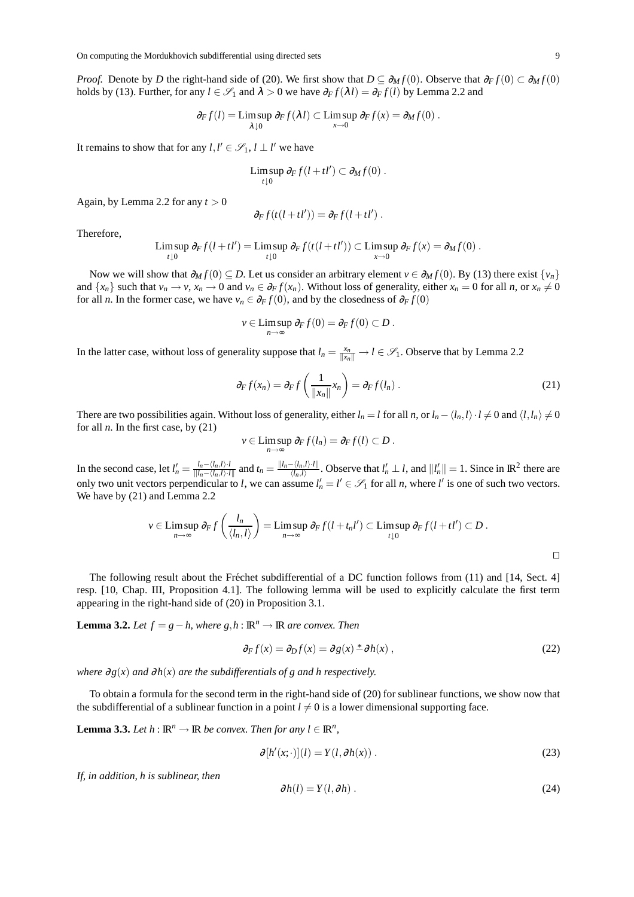*Proof.* Denote by *D* the right-hand side of (20). We first show that  $D \subseteq \partial_M f(0)$ . Observe that  $\partial_F f(0) \subset \partial_M f(0)$ holds by (13). Further, for any  $l \in \mathcal{S}_1$  and  $\lambda > 0$  we have  $\partial_F f(\lambda l) = \partial_F f(l)$  by Lemma 2.2 and

$$
\partial_F f(l) = \limsup_{\lambda \downarrow 0} \partial_F f(\lambda l) \subset \limsup_{x \to 0} \partial_F f(x) = \partial_M f(0) .
$$

It remains to show that for any  $l, l' \in \mathscr{S}_1$ ,  $l \perp l'$  we have

$$
\limsup_{t\downarrow 0}\partial_F f(l+tl')\subset \partial_M f(0).
$$

Again, by Lemma 2.2 for any  $t > 0$ 

$$
\partial_F f(t(l+tl')) = \partial_F f(l+tl') .
$$

Therefore,

$$
\limsup_{t\downarrow 0} \partial_F f(l+tl') = \limsup_{t\downarrow 0} \partial_F f(t(l+tl')) \subset \limsup_{x\to 0} \partial_F f(x) = \partial_M f(0).
$$

Now we will show that  $\partial_M f(0) \subseteq D$ . Let us consider an arbitrary element  $v \in \partial_M f(0)$ . By (13) there exist  $\{v_n\}$ and  $\{x_n\}$  such that  $v_n \to v$ ,  $x_n \to 0$  and  $v_n \in \partial_F f(x_n)$ . Without loss of generality, either  $x_n = 0$  for all n, or  $x_n \neq 0$ for all *n*. In the former case, we have  $v_n \in \partial_F f(0)$ , and by the closedness of  $\partial_F f(0)$ 

$$
v \in \limsup_{n \to \infty} \partial_F f(0) = \partial_F f(0) \subset D.
$$

In the latter case, without loss of generality suppose that  $l_n = \frac{x_n}{\|x_n\|} \to l \in \mathcal{S}_1$ . Observe that by Lemma 2.2

$$
\partial_F f(x_n) = \partial_F f\left(\frac{1}{\|x_n\|} x_n\right) = \partial_F f(l_n) \,. \tag{21}
$$

There are two possibilities again. Without loss of generality, either  $l_n = l$  for all *n*, or  $l_n - \langle l_n, l \rangle \cdot l \neq 0$  and  $\langle l, l_n \rangle \neq 0$ for all  $n$ . In the first case, by  $(21)$ 

$$
v \in \limsup_{n \to \infty} \partial_F f(l_n) = \partial_F f(l) \subset D.
$$

In the second case, let  $l'_n = \frac{l_n - \langle l_n, l \rangle \cdot l}{\|l_n - \langle l_n, l \rangle \cdot l}$  $\frac{l_n - \langle l_n, l \rangle \cdot l}{\|l_n - \langle l_n, l \rangle \cdot l\|}$  and  $t_n = \frac{\|l_n - \langle l_n, l \rangle \cdot l\|}{\langle l_n, l \rangle}$  $\frac{\langle l_n, l \rangle \cdot l \parallel}{\langle l_n, l \rangle}$ . Observe that  $l'_n \perp l$ , and  $||l'_n|| = 1$ . Since in  $\mathbb{R}^2$  there are only two unit vectors perpendicular to *l*, we can assume  $l'_n = l' \in \mathcal{S}_1$  for all *n*, where *l'* is one of such two vectors. We have by (21) and Lemma 2.2

$$
v \in \mathop{\rm Lim}_{n \to \infty} \frac{1}{n} \frac{1}{\langle l_n, l \rangle} = \mathop{\rm Lim}_{n \to \infty} \frac{1}{n} \frac{1}{\langle l_n, l \rangle} \frac{1}{\langle l_n, l \rangle} = \mathop{\rm Lim}_{n \to \infty} \frac{1}{n} \frac{1}{\langle l_n, l \rangle} \frac{1}{\langle l_n, l \rangle} = \mathop{\rm Lim}_{n \to \infty} \frac{1}{n} \frac{1}{\langle l_n, l \rangle}.
$$

The following result about the Fréchet subdifferential of a DC function follows from (11) and [14, Sect. 4] resp. [10, Chap. III, Proposition 4.1]. The following lemma will be used to explicitly calculate the first term appearing in the right-hand side of (20) in Proposition 3.1.

**Lemma 3.2.** *Let*  $f = g - h$ *, where*  $g, h$  : **R**<sup>*n*</sup> → **R** *are convex. Then* 

$$
\partial_F f(x) = \partial_D f(x) = \partial g(x) \stackrel{*}{\sim} \partial h(x) , \qquad (22)
$$

*where*  $\partial g(x)$  *and*  $\partial h(x)$  *are the subdifferentials of g and h respectively.* 

To obtain a formula for the second term in the right-hand side of (20) for sublinear functions, we show now that the subdifferential of a sublinear function in a point  $l \neq 0$  is a lower dimensional supporting face.

**Lemma 3.3.** *Let*  $h : \mathbb{R}^n \to \mathbb{R}$  *be convex. Then for any*  $l \in \mathbb{R}^n$ *,* 

$$
\partial [h'(x; \cdot)](l) = Y(l, \partial h(x)). \tag{23}
$$

*If, in addition, h is sublinear, then*

$$
\partial h(l) = Y(l, \partial h) \tag{24}
$$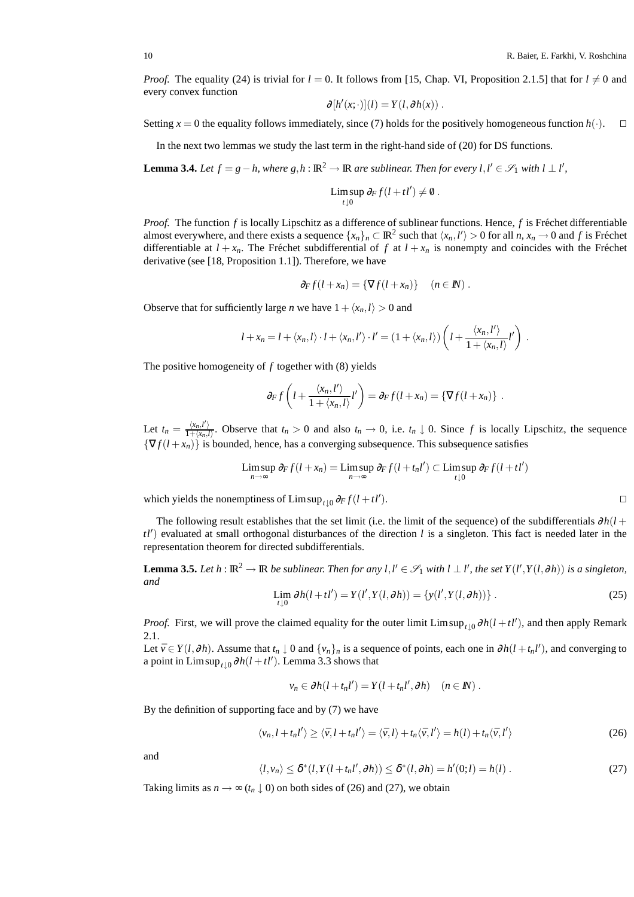*Proof.* The equality (24) is trivial for  $l = 0$ . It follows from [15, Chap. VI, Proposition 2.1.5] that for  $l \neq 0$  and every convex function

$$
\partial [h'(x; \cdot)](l) = Y(l, \partial h(x)) .
$$

Setting *x* = 0 the equality follows immediately, since (7) holds for the positively homogeneous function *h*(·). □

In the next two lemmas we study the last term in the right-hand side of (20) for DS functions.

**Lemma 3.4.** *Let*  $f = g - h$ , where  $g, h : \mathbb{R}^2 \to \mathbb{R}$  are sublinear. Then for every  $l, l' \in \mathscr{S}_1$  with  $l \perp l'$ ,

$$
\limsup_{t\downarrow 0}\partial_F f(l+tl')\neq \emptyset.
$$

*Proof.* The function  $f$  is locally Lipschitz as a difference of sublinear functions. Hence,  $f$  is Fréchet differentiable almost everywhere, and there exists a sequence  $\{x_n\}_n \subset \mathbb{R}^2$  such that  $\langle x_n, l'\rangle > 0$  for all  $n, x_n \to 0$  and  $f$  is Fréchet differentiable at  $l + x_n$ . The Fréchet subdifferential of f at  $l + x_n$  is nonempty and coincides with the Fréchet derivative (see [18, Proposition 1.1]). Therefore, we have

$$
\partial_F f(l+x_n) = \{ \nabla f(l+x_n) \} \quad (n \in \mathbb{N}).
$$

Observe that for sufficiently large *n* we have  $1 + \langle x_n, l \rangle > 0$  and

$$
l + x_n = l + \langle x_n, l \rangle \cdot l + \langle x_n, l' \rangle \cdot l' = (1 + \langle x_n, l \rangle) \left( l + \frac{\langle x_n, l' \rangle}{1 + \langle x_n, l \rangle} l' \right).
$$

The positive homogeneity of *f* together with (8) yields

$$
\partial_F f\left(l+\frac{\langle x_n,l'\rangle}{1+\langle x_n,l\rangle}l'\right)=\partial_F f(l+x_n)=\{\nabla f(l+x_n)\}.
$$

Let  $t_n = \frac{\langle x_n, l' \rangle}{1 + \langle x_n, l' \rangle}$  $\frac{\langle x_n, t \rangle}{1 + \langle x_n, t \rangle}$ . Observe that  $t_n > 0$  and also  $t_n \to 0$ , i.e.  $t_n \downarrow 0$ . Since f is locally Lipschitz, the sequence  ${\nabla f(l+x_n)}$  is bounded, hence, has a converging subsequence. This subsequence satisfies

$$
\limsup_{n\to\infty}\partial_F f(l+x_n)=\limsup_{n\to\infty}\partial_F f(l+t_n l')\subset \limsup_{t\downarrow 0}\partial_F f(l+t l')
$$

which yields the nonemptiness of  $\limsup_{t\downarrow 0} \partial_F f(l + tl')$ ). ⊓⊔

The following result establishes that the set limit (i.e. the limit of the sequence) of the subdifferentials ∂*h*(*l* + *tl*′ ) evaluated at small orthogonal disturbances of the direction *l* is a singleton. This fact is needed later in the representation theorem for directed subdifferentials.

**Lemma 3.5.** Let  $h: \mathbb{R}^2 \to \mathbb{R}$  be sublinear. Then for any  $l, l' \in \mathscr{S}_1$  with  $l \perp l'$ , the set  $Y(l', Y(l, \partial h))$  is a singleton, *and*

$$
\lim_{t \downarrow 0} \partial h(l + tl') = Y(l', Y(l, \partial h)) = \{y(l', Y(l, \partial h))\}.
$$
\n(25)

*Proof.* First, we will prove the claimed equality for the outer limit  $\limsup_{t\downarrow 0} \partial h(l + tl')$ , and then apply Remark 2.1.

Let  $\bar{v} \in Y(l, \partial h)$ . Assume that  $t_n \downarrow 0$  and  $\{v_n\}_n$  is a sequence of points, each one in  $\partial h(l + t_n l')$ , and converging to a point in  $\limsup_{t\downarrow 0} \partial h(l+tl')$ . Lemma 3.3 shows that

$$
v_n \in \partial h(l + t_n l') = Y(l + t_n l', \partial h) \quad (n \in I\!\!N).
$$

By the definition of supporting face and by (7) we have

$$
\langle v_n, l + t_n l' \rangle \ge \langle \bar{v}, l + t_n l' \rangle = \langle \bar{v}, l \rangle + t_n \langle \bar{v}, l' \rangle = h(l) + t_n \langle \bar{v}, l' \rangle \tag{26}
$$

and

$$
\langle l, v_n \rangle \leq \delta^*(l, Y(l + t_n l', \partial h)) \leq \delta^*(l, \partial h) = h'(0; l) = h(l).
$$
 (27)

Taking limits as  $n \to \infty$  ( $t_n \downarrow 0$ ) on both sides of (26) and (27), we obtain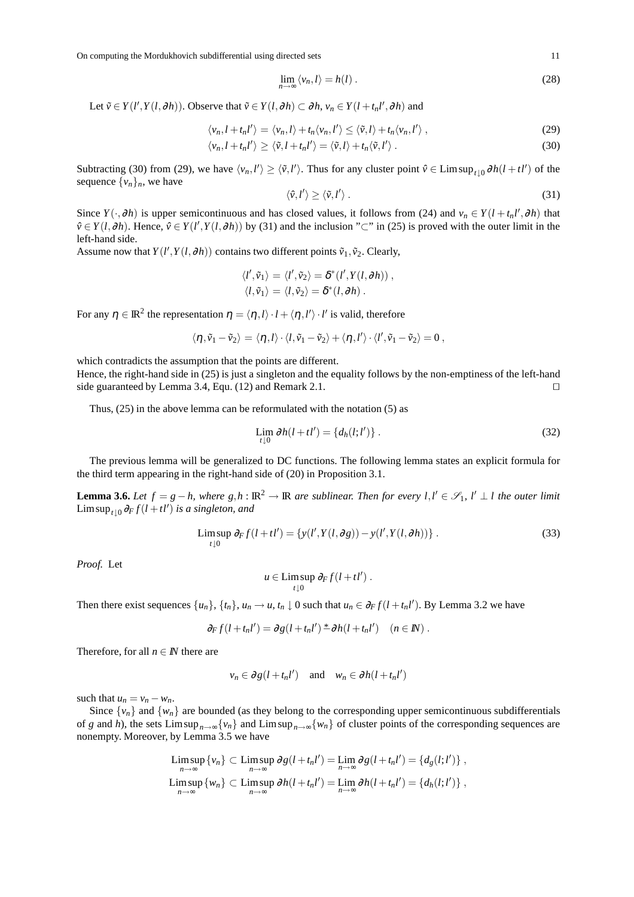$$
\lim_{n \to \infty} \langle v_n, l \rangle = h(l) \,. \tag{28}
$$

Let  $\tilde{v} \in Y(l', Y(l, \partial h))$ . Observe that  $\tilde{v} \in Y(l, \partial h) \subset \partial h$ ,  $v_n \in Y(l + t_n l', \partial h)$  and

$$
\langle v_n, l + t_n l' \rangle = \langle v_n, l \rangle + t_n \langle v_n, l' \rangle \le \langle \tilde{v}, l \rangle + t_n \langle v_n, l' \rangle \,, \tag{29}
$$

$$
\langle v_n, l + t_n l' \rangle \ge \langle \tilde{v}, l + t_n l' \rangle = \langle \tilde{v}, l \rangle + t_n \langle \tilde{v}, l' \rangle. \tag{30}
$$

Subtracting (30) from (29), we have  $\langle v_n, l' \rangle \ge \langle \tilde{v}, l' \rangle$ . Thus for any cluster point  $\hat{v} \in \text{Limsup}_{t \downarrow 0} \partial h(l + tl')$  of the sequence  $\{v_n\}_n$ , we have

$$
\langle \hat{\mathbf{v}}, l' \rangle \ge \langle \tilde{\mathbf{v}}, l' \rangle. \tag{31}
$$

Since  $Y(\cdot, \partial h)$  is upper semicontinuous and has closed values, it follows from (24) and  $v_n \in Y(l + t_n l', \partial h)$  that  $\hat{v}$  ∈ *Y*(*l*, $\partial h$ ). Hence,  $\hat{v}$  ∈ *Y*(*l'*,*Y*(*l*, $\partial h$ )) by (31) and the inclusion "⊂" in (25) is proved with the outer limit in the left-hand side.

Assume now that  $Y(l', Y(l, \partial h))$  contains two different points  $\tilde{v}_1, \tilde{v}_2$ . Clearly,

$$
\langle l', \tilde{v}_1 \rangle = \langle l', \tilde{v}_2 \rangle = \delta^*(l', Y(l, \partial h)), \langle l, \tilde{v}_1 \rangle = \langle l, \tilde{v}_2 \rangle = \delta^*(l, \partial h).
$$

For any  $\eta \in \mathbb{R}^2$  the representation  $\eta = \langle \eta, l \rangle \cdot l + \langle \eta, l' \rangle \cdot l'$  is valid, therefore

$$
\langle \eta\,, \tilde v_1 - \tilde v_2\rangle = \langle \eta\,, l\rangle \cdot \langle l, \tilde v_1 - \tilde v_2\rangle + \langle \eta\,, l'\rangle \cdot \langle l', \tilde v_1 - \tilde v_2\rangle = 0\;,
$$

which contradicts the assumption that the points are different.

Hence, the right-hand side in (25) is just a singleton and the equality follows by the non-emptiness of the left-hand side guaranteed by Lemma 3.4, Equ. (12) and Remark 2.1. □

Thus, (25) in the above lemma can be reformulated with the notation (5) as

$$
\lim_{t \downarrow 0} \partial h(l + t l') = \{ d_h(l; l') \} . \tag{32}
$$

The previous lemma will be generalized to DC functions. The following lemma states an explicit formula for the third term appearing in the right-hand side of (20) in Proposition 3.1.

**Lemma 3.6.** Let  $f = g - h$ , where  $g, h : \mathbb{R}^2 \to \mathbb{R}$  are sublinear. Then for every  $l, l' \in \mathscr{S}_1$ ,  $l' \perp l$  the outer limit  $\limsup_{t\downarrow 0} \frac{\partial_F f(l+tl')}{\partial s}$  *is a singleton, and* 

$$
\limsup_{t \downarrow 0} \partial_F f(l + tl') = \{ y(l', Y(l, \partial g)) - y(l', Y(l, \partial h)) \}.
$$
\n(33)

*Proof.* Let

$$
u \in \limsup_{t \downarrow 0} \partial_F f(l + tl') .
$$

Then there exist sequences  $\{u_n\}$ ,  $\{t_n\}$ ,  $u_n \to u$ ,  $t_n \downarrow 0$  such that  $u_n \in \partial_F f(l + t_n l')$ . By Lemma 3.2 we have

$$
\partial_F f(l + t_n l') = \partial g(l + t_n l') \stackrel{*}{\sim} \partial h(l + t_n l') \quad (n \in \mathbb{N}).
$$

Therefore, for all  $n \in \mathbb{N}$  there are

$$
v_n \in \partial g(l + t_n l')
$$
 and  $w_n \in \partial h(l + t_n l')$ 

such that  $u_n = v_n - w_n$ .

Since  $\{v_n\}$  and  $\{w_n\}$  are bounded (as they belong to the corresponding upper semicontinuous subdifferentials of *g* and *h*), the sets Limsup<sub>*n*→∞</sub>{*v<sub>n</sub>*} and Limsup<sub>*n*→∞</sub>{*w<sub>n</sub>*} of cluster points of the corresponding sequences are nonempty. Moreover, by Lemma 3.5 we have

$$
\limsup_{n \to \infty} \{v_n\} \subset \limsup_{n \to \infty} \partial g(l + t_n l') = \lim_{n \to \infty} \partial g(l + t_n l') = \{d_g(l; l')\},
$$
  
\n
$$
\limsup_{n \to \infty} \{w_n\} \subset \limsup_{n \to \infty} \partial h(l + t_n l') = \lim_{n \to \infty} \partial h(l + t_n l') = \{d_h(l; l')\},
$$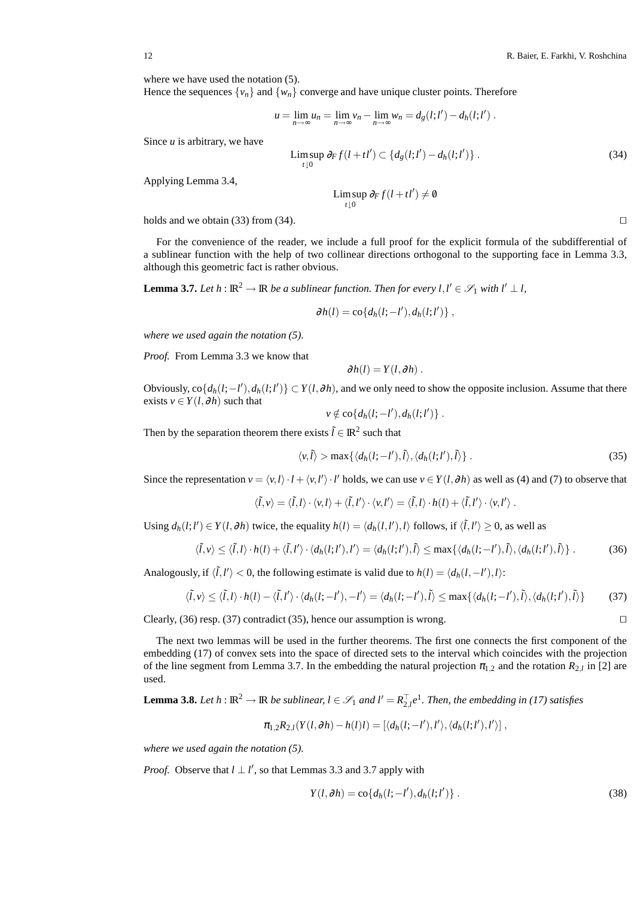where we have used the notation  $(5)$ . Hence the sequences  $\{v_n\}$  and  $\{w_n\}$  converge and have unique cluster points. Therefore

$$
u = \lim_{n \to \infty} u_n = \lim_{n \to \infty} v_n - \lim_{n \to \infty} w_n = d_g(l; l') - d_h(l; l') .
$$

Since *u* is arbitrary, we have

$$
\limsup_{t\downarrow 0} \partial_F f(l + tl') \subset \{d_g(l; l') - d_h(l; l')\}.
$$
\n(34)

Applying Lemma 3.4,

Lim sup  $\partial_F f(l + t l') \neq \emptyset$ *t*↓0

holds and we obtain (33) from (34). □

For the convenience of the reader, we include a full proof for the explicit formula of the subdifferential of a sublinear function with the help of two collinear directions orthogonal to the supporting face in Lemma 3.3, although this geometric fact is rather obvious.

**Lemma 3.7.** Let  $h : \mathbb{R}^2 \to \mathbb{R}$  be a sublinear function. Then for every  $l, l' \in \mathscr{S}_1$  with  $l' \perp l$ ,

$$
\partial h(l) = \mathrm{co}\{d_h(l; -l'), d_h(l; l')\}\;,
$$

*where we used again the notation (5).*

*Proof.* From Lemma 3.3 we know that

$$
\partial h(l) = Y(l, \partial h).
$$

Obviously,  $\text{co}\{d_h(l; -l'), d_h(l; l')\} \subset Y(l, \partial h)$ , and we only need to show the opposite inclusion. Assume that there exists  $v \in Y(l, \partial h)$  such that

$$
v \notin \mathrm{co}\{d_h(l; -l'), d_h(l; l')\}.
$$

Then by the separation theorem there exists  $\tilde{l} \in \mathbb{R}^2$  such that

$$
\langle v, \tilde{l} \rangle > \max \{ \langle d_h(l; -l'), \tilde{l} \rangle, \langle d_h(l; l'), \tilde{l} \rangle \} . \tag{35}
$$

Since the representation  $v = \langle v, l \rangle \cdot l + \langle v, l' \rangle \cdot l'$  holds, we can use  $v \in Y(l, \partial h)$  as well as (4) and (7) to observe that

$$
\langle \tilde{l}, v \rangle = \langle \tilde{l}, l \rangle \cdot \langle v, l \rangle + \langle \tilde{l}, l' \rangle \cdot \langle v, l' \rangle = \langle \tilde{l}, l \rangle \cdot h(l) + \langle \tilde{l}, l' \rangle \cdot \langle v, l' \rangle.
$$

Using  $d_h(l; l') \in Y(l, \partial h)$  twice, the equality  $h(l) = \langle d_h(l, l'), l \rangle$  follows, if  $\langle \tilde{l}, l' \rangle \ge 0$ , as well as

$$
\langle \tilde{l}, v \rangle \leq \langle \tilde{l}, l \rangle \cdot h(l) + \langle \tilde{l}, l' \rangle \cdot \langle d_h(l; l'), l' \rangle = \langle d_h(l; l'), \tilde{l} \rangle \leq \max\{\langle d_h(l; -l'), \tilde{l} \rangle, \langle d_h(l; l'), \tilde{l} \rangle\}.
$$
 (36)

Analogously, if  $\langle \tilde{l}, l' \rangle < 0$ , the following estimate is valid due to  $h(l) = \langle d_h(l, -l'), l \rangle$ :

$$
\langle \tilde{l}, v \rangle \le \langle \tilde{l}, l \rangle \cdot h(l) - \langle \tilde{l}, l' \rangle \cdot \langle d_h(l; -l'), -l' \rangle = \langle d_h(l; -l'), \tilde{l} \rangle \le \max\{\langle d_h(l; -l'), \tilde{l} \rangle, \langle d_h(l; l'), \tilde{l} \rangle\}
$$
(37)

Clearly, (36) resp. (37) contradict (35), hence our assumption is wrong. ⊓⊔

The next two lemmas will be used in the further theorems. The first one connects the first component of the embedding (17) of convex sets into the space of directed sets to the interval which coincides with the projection of the line segment from Lemma 3.7. In the embedding the natural projection  $\pi_{1,2}$  and the rotation  $R_{2,l}$  in [2] are used.

**Lemma 3.8.** *Let h* :  $\mathbb{R}^2 \to \mathbb{R}$  *be sublinear,*  $l \in \mathcal{S}_1$  *and*  $l' = R_{2,l}^T e^l$ *. Then, the embedding in (17) satisfies* 

$$
\pi_{1,2}R_{2,l}(Y(l, \partial h) - h(l)l) = [\langle d_h(l; -l'), l' \rangle, \langle d_h(l;l'), l' \rangle],
$$

*where we used again the notation (5).*

*Proof.* Observe that  $l \perp l'$ , so that Lemmas 3.3 and 3.7 apply with

$$
Y(l, \partial h) = \text{co}\{d_h(l; -l'), d_h(l; l')\} \,. \tag{38}
$$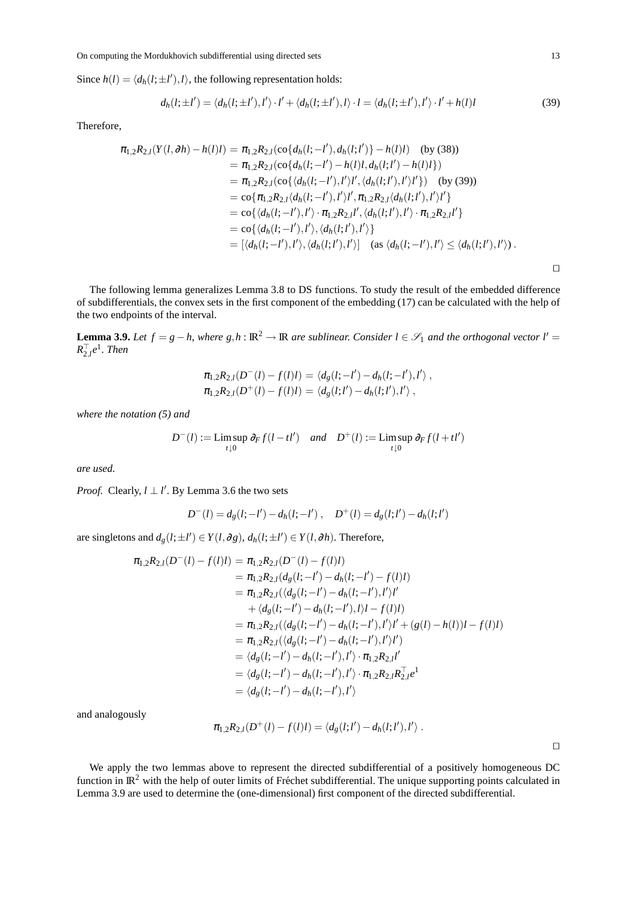Since  $h(l) = \langle d_h(l; \pm l'), l \rangle$ , the following representation holds:

$$
d_h(l; \pm l') = \langle d_h(l; \pm l'), l' \rangle \cdot l' + \langle d_h(l; \pm l'), l \rangle \cdot l = \langle d_h(l; \pm l'), l' \rangle \cdot l' + h(l)l \tag{39}
$$

Therefore,

$$
\pi_{1,2}R_{2,l}(Y(l, \partial h) - h(l)l) = \pi_{1,2}R_{2,l}(\text{co}\{d_h(l; -l'), d_h(l; l')\} - h(l)l) \quad \text{(by (38))}
$$
\n
$$
= \pi_{1,2}R_{2,l}(\text{co}\{d_h(l; -l') - h(l)l, d_h(l; l') - h(l)l\})
$$
\n
$$
= \pi_{1,2}R_{2,l}(\text{co}\{\langle d_h(l; -l'), l'\rangle l', \langle d_h(l; l'), l'\rangle l'\}) \quad \text{(by (39))}
$$
\n
$$
= \text{co}\{\pi_{1,2}R_{2,l}\langle d_h(l; -l'), l'\rangle l', \pi_{1,2}R_{2,l}\langle d_h(l; l'), l'\rangle l'\}
$$
\n
$$
= \text{co}\{\langle d_h(l; -l'), l'\rangle \cdot \pi_{1,2}R_{2,l}l', \langle d_h(l; l'), l'\rangle \cdot \pi_{1,2}R_{2,l}l'\}
$$
\n
$$
= \text{co}\{\langle d_h(l; -l'), l'\rangle, \langle d_h(l; l'), l'\rangle\}
$$
\n
$$
= [\langle d_h(l; -l'), l'\rangle, \langle d_h(l; l'), l'\rangle] \quad \text{(as } \langle d_h(l; -l'), l'\rangle \leq \langle d_h(l; l'), l'\rangle\}.
$$

The following lemma generalizes Lemma 3.8 to DS functions. To study the result of the embedded difference of subdifferentials, the convex sets in the first component of the embedding (17) can be calculated with the help of the two endpoints of the interval.

**Lemma 3.9.** *Let*  $f = g - h$ , where  $g, h : \mathbb{R}^2 \to \mathbb{R}$  *are sublinear. Consider*  $l \in \mathcal{S}_1$  *and the orthogonal vector*  $l' =$  $R_{2,l}^\top e^1$ *. Then* 

$$
\pi_{1,2}R_{2,l}(D^-(l)-f(l)l) = \langle d_g(l;-l') - d_h(l;-l'),l' \rangle,
$$
  

$$
\pi_{1,2}R_{2,l}(D^+(l)-f(l)l) = \langle d_g(l;l') - d_h(l;l'),l' \rangle,
$$

*where the notation (5) and*

$$
D^{-}(l) := \limsup_{t \downarrow 0} \partial_F f(l - t l') \quad \text{and} \quad D^{+}(l) := \limsup_{t \downarrow 0} \partial_F f(l + t l')
$$

*are used.*

*Proof.* Clearly,  $l \perp l'$ . By Lemma 3.6 the two sets

$$
D^{-}(l) = d_g(l; -l') - d_h(l; -l') , \quad D^{+}(l) = d_g(l; l') - d_h(l; l')
$$

are singletons and  $d_g(l; \pm l') \in Y(l, \partial g)$ ,  $d_h(l; \pm l') \in Y(l, \partial h)$ . Therefore,

$$
\pi_{1,2}R_{2,l}(D^-(l) - f(l)l) = \pi_{1,2}R_{2,l}(D^-(l) - f(l)l)
$$
  
\n
$$
= \pi_{1,2}R_{2,l}(d_g(l; -l') - d_h(l; -l') - f(l)l)
$$
  
\n
$$
= \pi_{1,2}R_{2,l}(\langle d_g(l; -l') - d_h(l; -l'),l'\rangle l'
$$
  
\n
$$
+ \langle d_g(l; -l') - d_h(l; -l'),l\rangle l - f(l)l)
$$
  
\n
$$
= \pi_{1,2}R_{2,l}(\langle d_g(l; -l') - d_h(l; -l'),l'\rangle l' + (g(l) - h(l))l - f(l)l)
$$
  
\n
$$
= \pi_{1,2}R_{2,l}(\langle d_g(l; -l') - d_h(l; -l'),l'\rangle l')
$$
  
\n
$$
= \langle d_g(l; -l') - d_h(l; -l'),l'\rangle \cdot \pi_{1,2}R_{2,l}l'
$$
  
\n
$$
= \langle d_g(l; -l') - d_h(l; -l'),l'\rangle \cdot \pi_{1,2}R_{2,l}R_{2,l}^{-1}e^{1}
$$
  
\n
$$
= \langle d_g(l; -l') - d_h(l; -l'),l'\rangle
$$

and analogously

$$
\pi_{1,2}R_{2,l}(D^+(l)-f(l)l)=\langle d_g(l;l')-d_h(l;l'),l'\rangle.
$$

⊓⊔

We apply the two lemmas above to represent the directed subdifferential of a positively homogeneous DC function in  $\mathbb{R}^2$  with the help of outer limits of Fréchet subdifferential. The unique supporting points calculated in Lemma 3.9 are used to determine the (one-dimensional) first component of the directed subdifferential.

⊓⊔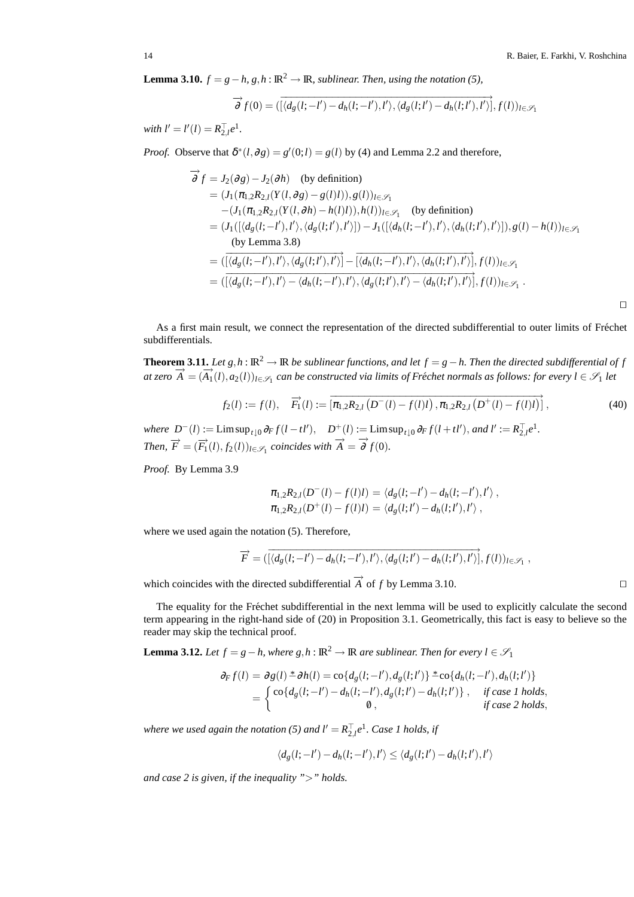**Lemma 3.10.**  $f = g - h$ ,  $g, h : \mathbb{R}^2 \to \mathbb{R}$ , sublinear. Then, using the notation (5),

$$
\overrightarrow{\partial} f(0) = (\overrightarrow{[\langle d_g(l;-l') - d_h(l;-l'), l' \rangle, \langle d_g(l;l') - d_h(l;l'), l' \rangle]}, f(l))_{l \in \mathcal{S}_1}
$$

*with*  $l' = l'(l) = R_{2,l}^\top e^1$ .

*Proof.* Observe that  $\delta^*(l, \partial g) = g'(0; l) = g(l)$  by (4) and Lemma 2.2 and therefore,

$$
\overrightarrow{\partial} f = J_2(\partial g) - J_2(\partial h) \quad \text{(by definition)}
$$
\n
$$
= (J_1(\pi_{1,2}R_{2,l}(Y(l,\partial g) - g(l)l)), g(l))_{l \in \mathscr{S}_1}
$$
\n
$$
- (J_1(\pi_{1,2}R_{2,l}(Y(l,\partial h) - h(l)l)), h(l))_{l \in \mathscr{S}_1} \quad \text{(by definition)}
$$
\n
$$
= (J_1([\langle d_g(l;-l'),l'\rangle, \langle d_g(l;l'),l'\rangle]) - J_1([\langle d_h(l;-l'),l'\rangle, \langle d_h(l;l'),l'\rangle]), g(l) - h(l))_{l \in \mathscr{S}_1}
$$
\n
$$
\text{(by Lemma 3.8)}
$$
\n
$$
= ([\langle d_g(l;-l'),l'\rangle, \langle d_g(l;l'),l'\rangle)] - [\langle d_h(l;-l'),l'\rangle, \langle d_h(l;l'),l'\rangle], f(l))_{l \in \mathscr{S}_1}
$$
\n
$$
= ([\langle d_g(l;-l'),l'\rangle - \langle d_h(l;-l'),l'\rangle, \langle d_g(l;l'),l'\rangle - \langle d_h(l;l'),l'\rangle], f(l))_{l \in \mathscr{S}_1}.
$$

As a first main result, we connect the representation of the directed subdifferential to outer limits of Fréchet subdifferentials.

**Theorem 3.11.** *Let*  $g, h : \mathbb{R}^2 \to \mathbb{R}$  *be sublinear functions, and let*  $f = g - h$ . *Then the directed subdifferential of*  $f$ *at zero*  $\overrightarrow{A} = (\overrightarrow{A_1}(l), a_2(l))_{l \in \mathscr{S}_1}$  can be constructed via limits of Fréchet normals as follows: for every  $l \in \mathscr{S}_1$  let

$$
f_2(l) := f(l), \quad \overrightarrow{F_1}(l) := \left[ \overline{\pi_{1,2} R_{2,l} \left( D^-(l) - f(l)l \right), \pi_{1,2} R_{2,l} \left( D^+(l) - f(l)l \right)} \right],\tag{40}
$$

where  $D^{-}(l) := \text{Lim}\sup_{t\downarrow 0} \partial_F f(l - t l'), \quad D^{+}(l) := \text{Lim}\sup_{t\downarrow 0} \partial_F f(l + t l'),$  and  $l' := R_{2,l}^{\top} e^1$ . *Then,*  $\overrightarrow{F} = (\overrightarrow{F_1}(l), f_2(l))_{l \in \mathscr{S}_1}$  *coincides with*  $\overrightarrow{A} = \overrightarrow{\partial} f(0)$ *.* 

*Proof.* By Lemma 3.9

$$
\pi_{1,2}R_{2,l}(D^-(l)-f(l)l) = \langle d_g(l; -l') - d_h(l; -l'), l' \rangle,
$$
  

$$
\pi_{1,2}R_{2,l}(D^+(l)-f(l)l) = \langle d_g(l;l') - d_h(l;l'), l' \rangle,
$$

where we used again the notation (5). Therefore,

$$
\overrightarrow{F} = (\overrightarrow{[\langle d_g(l;-l') - d_h(l;-l'),l'\rangle, \langle d_g(l;l') - d_h(l;l'),l'\rangle]}, f(l))_{l \in \mathscr{S}_1},
$$

which coincides with the directed subdifferential  $\overrightarrow{A}$  of *f* by Lemma 3.10. □

The equality for the Fréchet subdifferential in the next lemma will be used to explicitly calculate the second term appearing in the right-hand side of (20) in Proposition 3.1. Geometrically, this fact is easy to believe so the reader may skip the technical proof.

**Lemma 3.12.** *Let*  $f = g - h$ , where  $g, h : \mathbb{R}^2 \to \mathbb{R}$  *are sublinear. Then for every*  $l \in \mathcal{S}_1$ 

$$
\partial_F f(l) = \partial_g(l) \stackrel{*}{=} \partial h(l) = \text{co}\{d_g(l; -l'), d_g(l; l')\} \stackrel{*}{=} \text{co}\{d_h(l; -l'), d_h(l; l')\}
$$
\n
$$
= \begin{cases}\n\text{co}\{d_g(l; -l') - d_h(l; -l'), d_g(l; l') - d_h(l; l')\}, & \text{if case 1 holds,} \\
0, & \text{if case 2 holds,}\n\end{cases}
$$

where we used again the notation (5) and  $l' = R_{2,l}^{\top}e^l$ . Case 1 holds, if

$$
\langle d_g(l;-l') - d_h(l;-l'),l'\rangle \leq \langle d_g(l;l') - d_h(l;l'),l'\rangle
$$

*and case 2 is given, if the inequality "*>*" holds.*

⊓⊔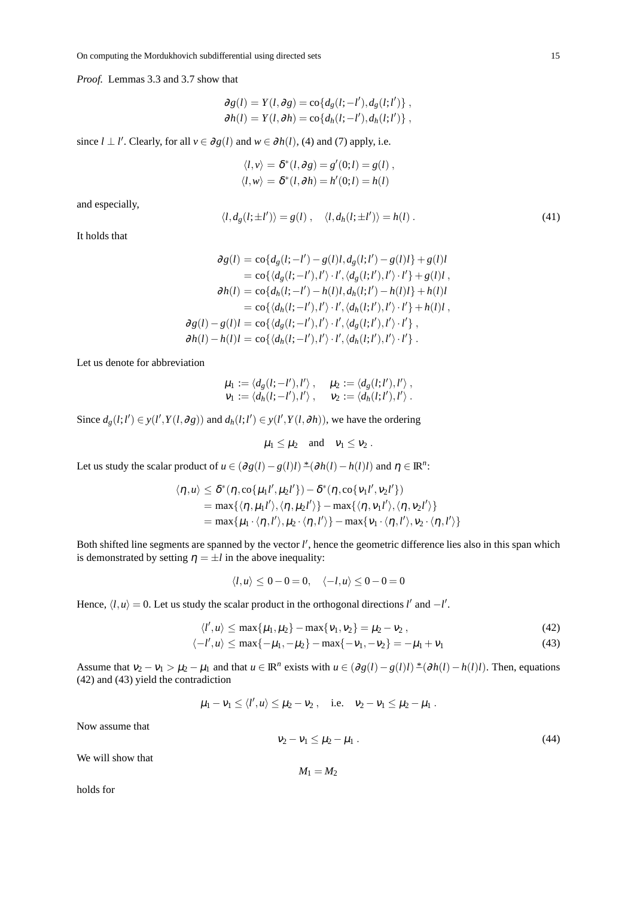*Proof.* Lemmas 3.3 and 3.7 show that

$$
\partial g(l) = Y(l, \partial g) = \text{co}\lbrace d_g(l; -l'), d_g(l; l') \rbrace ,
$$
  

$$
\partial h(l) = Y(l, \partial h) = \text{co}\lbrace d_h(l; -l'), d_h(l; l') \rbrace ,
$$

since  $l \perp l'$ . Clearly, for all  $v \in \partial g(l)$  and  $w \in \partial h(l)$ , (4) and (7) apply, i.e.

$$
\langle l, v \rangle = \delta^*(l, \partial g) = g'(0; l) = g(l),
$$
  

$$
\langle l, w \rangle = \delta^*(l, \partial h) = h'(0; l) = h(l)
$$

and especially,

$$
\langle l, d_g(l; \pm l') \rangle = g(l) , \quad \langle l, d_h(l; \pm l') \rangle = h(l) . \tag{41}
$$

It holds that

$$
\begin{aligned}\n\partial g(l) &= \cos\{d_g(l; -l') - g(l)l, d_g(l; l') - g(l)l\} + g(l)l \\
&= \cos\{\langle d_g(l; -l'), l' \rangle \cdot l', \langle d_g(l; l'), l' \rangle \cdot l'\} + g(l)l, \\
\partial h(l) &= \cos\{d_h(l; -l') - h(l)l, d_h(l; l') - h(l)l\} + h(l)l \\
&= \cos\{\langle d_h(l; -l'), l' \rangle \cdot l', \langle d_h(l; l'), l' \rangle \cdot l'\} + h(l)l, \\
\partial g(l) - g(l)l &= \cos\{\langle d_g(l; -l'), l' \rangle \cdot l', \langle d_g(l; l'), l' \rangle \cdot l'\}, \\
\partial h(l) - h(l)l &= \cos\{\langle d_h(l; -l'), l' \rangle \cdot l', \langle d_h(l; l'), l' \rangle \cdot l'\}.\n\end{aligned}
$$

Let us denote for abbreviation

$$
\mu_1 := \langle d_g(l; -l'), l' \rangle, \quad \mu_2 := \langle d_g(l; l'), l' \rangle, \nu_1 := \langle d_h(l; -l'), l' \rangle, \quad \nu_2 := \langle d_h(l; l'), l' \rangle.
$$

Since  $d_g(l; l') \in y(l', Y(l, \partial g))$  and  $d_h(l; l') \in y(l', Y(l, \partial h))$ , we have the ordering

$$
\mu_1 \leq \mu_2 \quad \text{and} \quad v_1 \leq v_2 \, .
$$

Let us study the scalar product of  $u \in (\partial g(l) - g(l)l) * (\partial h(l) - h(l)l)$  and  $\eta \in \mathbb{R}^n$ :

$$
\langle \eta, u \rangle \leq \delta^*(\eta, \text{co}\{\mu_1 l', \mu_2 l'\}) - \delta^*(\eta, \text{co}\{v_1 l', v_2 l'\})
$$
  
= max{ $\langle \eta, \mu_1 l' \rangle, \langle \eta, \mu_2 l' \rangle\}$  - max{ $\langle \eta, v_1 l' \rangle, \langle \eta, v_2 l' \rangle\}$   
= max{ $\mu_1 \cdot \langle \eta, l' \rangle, \mu_2 \cdot \langle \eta, l' \rangle$ } - max{ $v_1 \cdot \langle \eta, l' \rangle, v_2 \cdot \langle \eta, l' \rangle$ }

Both shifted line segments are spanned by the vector *l'*, hence the geometric difference lies also in this span which is demonstrated by setting  $\eta = \pm l$  in the above inequality:

$$
\langle l, u \rangle \le 0 - 0 = 0, \quad \langle -l, u \rangle \le 0 - 0 = 0
$$

Hence,  $\langle l, u \rangle = 0$ . Let us study the scalar product in the orthogonal directions *l'* and  $-l'$ .

$$
\langle l', u \rangle \le \max\{\mu_1, \mu_2\} - \max\{v_1, v_2\} = \mu_2 - v_2 , \qquad (42)
$$

$$
\langle -l', u \rangle \le \max\{-\mu_1, -\mu_2\} - \max\{-\nu_1, -\nu_2\} = -\mu_1 + \nu_1 \tag{43}
$$

Assume that  $v_2 - v_1 > \mu_2 - \mu_1$  and that  $u \in \mathbb{R}^n$  exists with  $u \in (\partial g(l) - g(l)l) * (\partial h(l) - h(l)l)$ . Then, equations (42) and (43) yield the contradiction

$$
\mu_1-\nu_1\leq \langle l',u\rangle\leq \mu_2-\nu_2\ ,\quad\text{i.e.}\quad \nu_2-\nu_1\leq \mu_2-\mu_1\ .
$$

Now assume that

$$
v_2 - v_1 \le \mu_2 - \mu_1 \tag{44}
$$

We will show that

 $M_1 = M_2$ 

holds for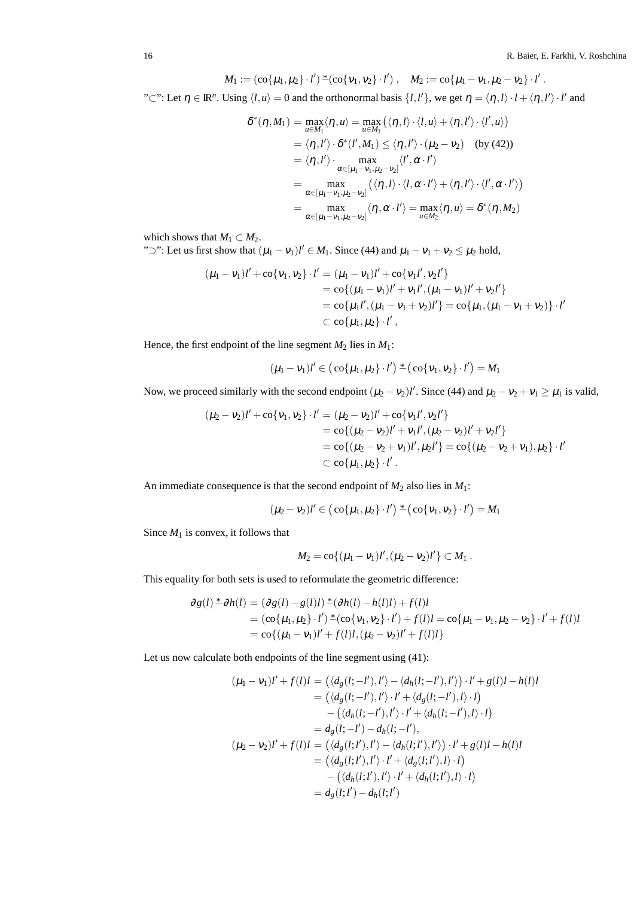16 R. Baier, E. Farkhi, V. Roshchina

$$
M_1 := (\text{co}\{\mu_1,\mu_2\}\cdot l')^* (\text{co}\{\nu_1,\nu_2\}\cdot l') , \quad M_2 := \text{co}\{\mu_1-\nu_1,\mu_2-\nu_2\}\cdot l'.
$$

 $C$ ": Let  $\eta \in \mathbb{R}^n$ . Using  $\langle l, u \rangle = 0$  and the orthonormal basis  $\{l, l'\}$ , we get  $\eta = \langle \eta, l \rangle \cdot l + \langle \eta, l' \rangle \cdot l'$  and

$$
\delta^*(\eta, M_1) = \max_{u \in M_1} \langle \eta, u \rangle = \max_{u \in M_1} \left( \langle \eta, l \rangle \cdot \langle l, u \rangle + \langle \eta, l' \rangle \cdot \langle l', u \rangle \right)
$$
  
\n
$$
= \langle \eta, l' \rangle \cdot \delta^*(l', M_1) \le \langle \eta, l' \rangle \cdot (\mu_2 - \nu_2) \quad \text{(by (42))}
$$
  
\n
$$
= \langle \eta, l' \rangle \cdot \max_{\alpha \in [\mu_1 - \nu_1, \mu_2 - \nu_2]} \langle l', \alpha \cdot l' \rangle
$$
  
\n
$$
= \max_{\alpha \in [\mu_1 - \nu_1, \mu_2 - \nu_2]} \langle \langle \eta, l \rangle \cdot \langle l, \alpha \cdot l' \rangle + \langle \eta, l' \rangle \cdot \langle l', \alpha \cdot l' \rangle \rangle
$$
  
\n
$$
= \max_{\alpha \in [\mu_1 - \nu_1, \mu_2 - \nu_2]} \langle \eta, \alpha \cdot l' \rangle = \max_{u \in M_2} \langle \eta, u \rangle = \delta^*(\eta, M_2)
$$

which shows that  $M_1 \subset M_2$ .

" $\supset$ ": Let us first show that  $(\mu_1 - \nu_1)l' \in M_1$ . Since (44) and  $\mu_1 - \nu_1 + \nu_2 \le \mu_2$  hold,

$$
(\mu_1 - \nu_1)l' + \cos{\nu_1, \nu_2} \cdot l' = (\mu_1 - \nu_1)l' + \cos{\nu_1 l', \nu_2 l'}
$$
  
=  $\cos{\mu_1 - \nu_1}l' + \nu_1 l', (\mu_1 - \nu_1)l' + \nu_2 l'}$   
=  $\cos{\mu_1 l', (\mu_1 - \nu_1 + \nu_2) l'} = \cos{\mu_1, (\mu_1 - \nu_1 + \nu_2)} \cdot l'$   
 $\subset \cos{\mu_1, \mu_2} \cdot l',$ 

Hence, the first endpoint of the line segment  $M_2$  lies in  $M_1$ :

$$
(\mu_1 - \nu_1)l' \in (\text{co}\{\mu_1, \mu_2\} \cdot l')^* (\text{co}\{\nu_1, \nu_2\} \cdot l') = M_1
$$

Now, we proceed similarly with the second endpoint  $(\mu_2 - \nu_2)l'$ . Since (44) and  $\mu_2 - \nu_2 + \nu_1 \ge \mu_1$  is valid,

$$
(\mu_2 - v_2)l' + \cos\{v_1, v_2\} \cdot l' = (\mu_2 - v_2)l' + \cos\{v_1l', v_2l'\}
$$
  
=  $\cos\{(\mu_2 - v_2)l' + v_1l', (\mu_2 - v_2)l' + v_2l'\}$   
=  $\cos\{(\mu_2 - v_2 + v_1)l', \mu_2l'\} = \cos\{(\mu_2 - v_2 + v_1), \mu_2\} \cdot l'$   
 $\subset \cos\{\mu_1, \mu_2\} \cdot l'.$ 

An immediate consequence is that the second endpoint of  $M_2$  also lies in  $M_1$ :

$$
(\mu_2 - \nu_2)l' \in (\text{co}\{\mu_1, \mu_2\} \cdot l')^* (\text{co}\{\nu_1, \nu_2\} \cdot l') = M_1
$$

Since  $M_1$  is convex, it follows that

$$
M_2 = \mathrm{co}\{(\mu_1 - \nu_1)l', (\mu_2 - \nu_2)l'\} \subset M_1.
$$

This equality for both sets is used to reformulate the geometric difference:

$$
\partial g(l) \stackrel{*}{\sim} \partial h(l) = (\partial g(l) - g(l)l) \stackrel{*}{\sim} (\partial h(l) - h(l)l) + f(l)l
$$
  
=  $(\text{co}\{\mu_1, \mu_2\} \cdot l') \stackrel{*}{\sim} (\text{co}\{v_1, v_2\} \cdot l') + f(l)l = \text{co}\{\mu_1 - v_1, \mu_2 - v_2\} \cdot l' + f(l)l$   
=  $\text{co}\{(\mu_1 - v_1)l' + f(l)l, (\mu_2 - v_2)l' + f(l)l\}$ 

Let us now calculate both endpoints of the line segment using (41):

$$
(\mu_1 - \nu_1)l' + f(l)l = (\langle d_g(l; - l'), l' \rangle - \langle d_h(l; - l'), l' \rangle) \cdot l' + g(l)l - h(l)l
$$
  
\n
$$
= (\langle d_g(l; - l'), l' \rangle \cdot l' + \langle d_g(l; - l'), l \rangle \cdot l)
$$
  
\n
$$
- (\langle d_h(l; - l'), l' \rangle \cdot l' + \langle d_h(l; - l'), l \rangle \cdot l)
$$
  
\n
$$
= d_g(l; - l') - d_h(l; - l'),
$$
  
\n
$$
(\mu_2 - \nu_2)l' + f(l)l = (\langle d_g(l; l'), l' \rangle - \langle d_h(l; l'), l' \rangle) \cdot l' + g(l)l - h(l)l
$$
  
\n
$$
= (\langle d_g(l; l'), l' \rangle \cdot l' + \langle d_g(l; l'), l \rangle \cdot l)
$$
  
\n
$$
- (\langle d_h(l; l'), l' \rangle \cdot l' + \langle d_h(l; l'), l \rangle \cdot l)
$$
  
\n
$$
= d_g(l; l') - d_h(l; l')
$$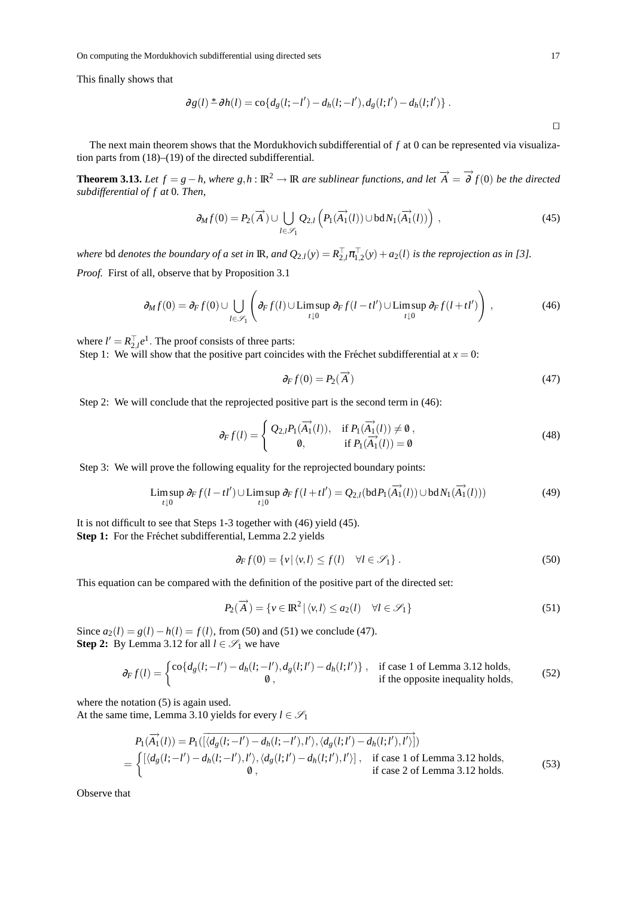This finally shows that

$$
\partial g(l)^* \partial h(l) = \text{co}\{d_g(l; -l') - d_h(l; -l'), d_g(l; l') - d_h(l; l')\}.
$$

The next main theorem shows that the Mordukhovich subdifferential of *f* at 0 can be represented via visualization parts from (18)–(19) of the directed subdifferential.

**Theorem 3.13.** Let  $f = g - h$ , where  $g,h : \mathbb{R}^2 \to \mathbb{R}$  are sublinear functions, and let  $\overrightarrow{A} = \overrightarrow{\partial} f(0)$  be the directed *subdifferential of f at* 0*. Then,*

$$
\partial_M f(0) = P_2(\overrightarrow{A}) \cup \bigcup_{l \in \mathscr{S}_1} Q_{2,l} \left( P_1(\overrightarrow{A_1}(l)) \cup \text{bd} N_1(\overrightarrow{A_1}(l)) \right) , \tag{45}
$$

*where* bd *denotes the boundary of a set in* **IR**, and  $Q_{2,l}(y) = R_{2,l}^T \pi_{1,2}^T(y) + a_2(l)$  *is the reprojection as in* [3].

*Proof.* First of all, observe that by Proposition 3.1

$$
\partial_M f(0) = \partial_F f(0) \cup \bigcup_{l \in \mathscr{S}_1} \left( \partial_F f(l) \cup \limsup_{t \downarrow 0} \partial_F f(l - t l') \cup \limsup_{t \downarrow 0} \partial_F f(l + t l') \right),\tag{46}
$$

where  $l' = R_{2,l}^{\top}e^{1}$ . The proof consists of three parts: Step 1: We will show that the positive part coincides with the Fréchet subdifferential at  $x = 0$ :

$$
\partial_F f(0) = P_2(\vec{A}) \tag{47}
$$

Step 2: We will conclude that the reprojected positive part is the second term in (46):

$$
\partial_F f(l) = \begin{cases} Q_{2,l} P_1(\overrightarrow{A_1}(l)), & \text{if } P_1(\overrightarrow{A_1}(l)) \neq 0, \\ 0, & \text{if } P_1(\overrightarrow{A_1}(l)) = 0 \end{cases}
$$
(48)

Step 3: We will prove the following equality for the reprojected boundary points:

$$
\limsup_{t\downarrow 0} \partial_F f(l - t l') \cup \limsup_{t\downarrow 0} \partial_F f(l + t l') = Q_{2,l}(\text{bd} P_1(\overrightarrow{A_1}(l)) \cup \text{bd} N_1(\overrightarrow{A_1}(l)))\tag{49}
$$

It is not difficult to see that Steps 1-3 together with (46) yield (45). **Step 1:** For the Fréchet subdifferential, Lemma 2.2 yields

$$
\partial_F f(0) = \{ v \, | \, \langle v, l \rangle \le f(l) \quad \forall l \in \mathcal{S}_1 \} \,. \tag{50}
$$

This equation can be compared with the definition of the positive part of the directed set:

$$
P_2(\overrightarrow{A}) = \{ v \in \mathbb{R}^2 \mid \langle v, l \rangle \le a_2(l) \quad \forall l \in \mathcal{S}_1 \}
$$
\n
$$
(51)
$$

Since  $a_2(l) = g(l) - h(l) = f(l)$ , from (50) and (51) we conclude (47). **Step 2:** By Lemma 3.12 for all  $l \in \mathcal{S}_1$  we have

$$
\partial_F f(l) = \begin{cases} \cos\{d_g(l; -l') - d_h(l; -l'), d_g(l; l') - d_h(l; l')\}, & \text{if case 1 of Lemma 3.12 holds,} \\ 0, & \text{if the opposite inequality holds,} \end{cases}
$$
(52)

where the notation  $(5)$  is again used.

At the same time, Lemma 3.10 yields for every  $l \in \mathcal{S}_1$ 

$$
P_1(\overrightarrow{A_1}(l)) = P_1([\langle d_g(l; - l') - d_h(l; - l'), l' \rangle, \langle d_g(l; l') - d_h(l; l'), l' \rangle])
$$
  
= 
$$
\begin{cases} [\langle d_g(l; - l') - d_h(l; - l'), l' \rangle, \langle d_g(l; l') - d_h(l; l'), l' \rangle], & \text{if case 1 of Lemma 3.12 holds,} \\ 0, & \text{if case 2 of Lemma 3.12 holds.} \end{cases}
$$
(53)

Observe that

⊓⊔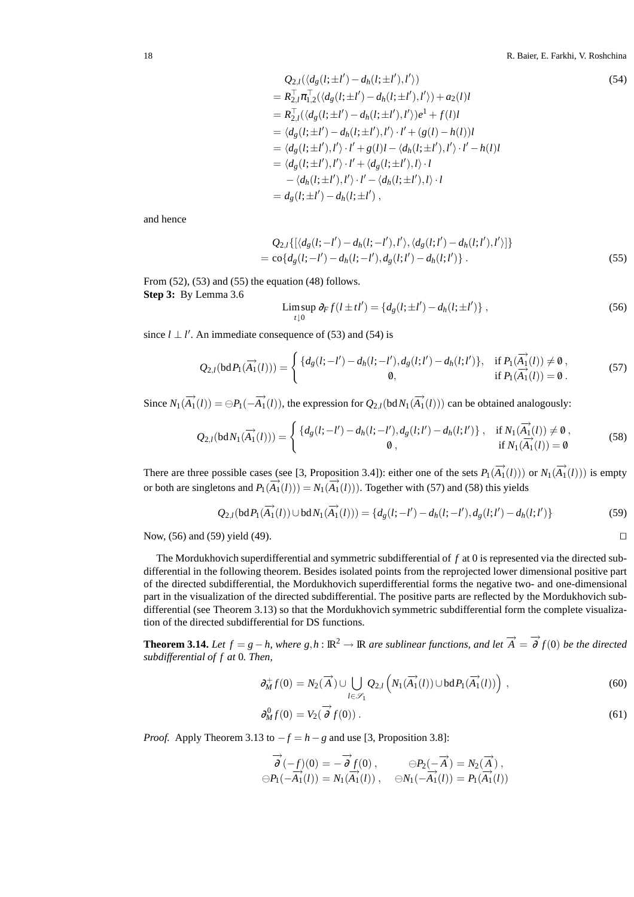$$
Q_{2,l}(\langle d_g(l; \pm l') - d_h(l; \pm l'), l' \rangle)
$$
\n
$$
= R_{2,l}^\top \pi_{1,2}^\top (\langle d_g(l; \pm l') - d_h(l; \pm l'), l' \rangle) + a_2(l)l
$$
\n
$$
= R_{2,l}^\top (\langle d_g(l; \pm l') - d_h(l; \pm l'), l' \rangle) e^1 + f(l)l
$$
\n
$$
= \langle d_g(l; \pm l') - d_h(l; \pm l'), l' \rangle \cdot l' + (g(l) - h(l))l
$$
\n
$$
= \langle d_g(l; \pm l'), l' \rangle \cdot l' + g(l)l - \langle d_h(l; \pm l'), l' \rangle \cdot l' - h(l)l
$$
\n
$$
= \langle d_g(l; \pm l'), l' \rangle \cdot l' + \langle d_g(l; \pm l'), l \rangle \cdot l
$$
\n
$$
- \langle d_h(l; \pm l'), l' \rangle \cdot l' - \langle d_h(l; \pm l'), l \rangle \cdot l
$$
\n
$$
= d_g(l; \pm l') - d_h(l; \pm l'),
$$
\n(15)

and hence

$$
Q_{2,l}\{ [\langle d_g(l; -l') - d_h(l; -l'), l' \rangle, \langle d_g(l; l') - d_h(l; l'), l' \rangle] \}
$$
  
=  $\text{co}\{d_g(l; -l') - d_h(l; -l'), d_g(l; l') - d_h(l; l') \}.$  (55)

From  $(52)$ ,  $(53)$  and  $(55)$  the equation  $(48)$  follows. **Step 3:** By Lemma 3.6

$$
\limsup_{t \downarrow 0} \partial_F f(l \pm t l') = \{ d_g(l; \pm l') - d_h(l; \pm l') \},\tag{56}
$$

since  $l \perp l'$ . An immediate consequence of (53) and (54) is

$$
Q_{2,l}(\text{bd } P_1(\overrightarrow{A_1}(l))) = \begin{cases} \{d_g(l; -l') - d_h(l; -l'), d_g(l; l') - d_h(l; l')\}, & \text{if } P_1(\overrightarrow{A_1}(l)) \neq 0, \\ 0, & \text{if } P_1(\overrightarrow{A_1}(l)) = 0. \end{cases}
$$
(57)

Since  $N_1(\overrightarrow{A_1}(l)) = \bigoplus P_1(-\overrightarrow{A_1}(l))$ , the expression for  $Q_{2,l}(\text{bd } N_1(\overrightarrow{A_1}(l)))$  can be obtained analogously:

$$
Q_{2,l}(\text{bd}N_1(\overrightarrow{A_1}(l))) = \begin{cases} \{d_g(l; -l') - d_h(l; -l'), d_g(l; l') - d_h(l; l')\}, & \text{if } N_1(\overrightarrow{A_1}(l)) \neq \emptyset, \\ 0, & \text{if } N_1(\overrightarrow{A_1}(l)) = \emptyset \end{cases}
$$
(58)

There are three possible cases (see [3, Proposition 3.4]): either one of the sets  $P_1(\overrightarrow{A_1}(l))$  or  $N_1(\overrightarrow{A_1}(l))$  is empty or both are singletons and  $P_1(\overrightarrow{A_1}(l))) = N_1(\overrightarrow{A_1}(l))$ . Together with (57) and (58) this yields

$$
Q_{2,l}(\text{bd}P_1(\overrightarrow{A_1}(l)) \cup \text{bd}N_1(\overrightarrow{A_1}(l))) = \{d_g(l; -l') - d_h(l; -l'), d_g(l; l') - d_h(l; l')\}
$$
(59)

Now, (56) and (59) yield (49). □

The Mordukhovich superdifferential and symmetric subdifferential of *f* at 0 is represented via the directed subdifferential in the following theorem. Besides isolated points from the reprojected lower dimensional positive part of the directed subdifferential, the Mordukhovich superdifferential forms the negative two- and one-dimensional part in the visualization of the directed subdifferential. The positive parts are reflected by the Mordukhovich subdifferential (see Theorem 3.13) so that the Mordukhovich symmetric subdifferential form the complete visualization of the directed subdifferential for DS functions.

**Theorem 3.14.** Let  $f = g - h$ , where  $g,h : \mathbb{R}^2 \to \mathbb{R}$  are sublinear functions, and let  $\overrightarrow{A} = \overrightarrow{\partial} f(0)$  be the directed *subdifferential of f at* 0*. Then,*

$$
\partial_M^+ f(0) = N_2(\overrightarrow{A}) \cup \bigcup_{l \in \mathscr{S}_1} Q_{2,l} \left( N_1(\overrightarrow{A_1}(l)) \cup \text{bd} P_1(\overrightarrow{A_1}(l)) \right) , \tag{60}
$$

$$
\partial_M^0 f(0) = V_2(\overrightarrow{\partial} f(0)). \tag{61}
$$

*Proof.* Apply Theorem 3.13 to  $-f = h - g$  and use [3, Proposition 3.8]:

$$
\overrightarrow{\partial}(-f)(0) = -\overrightarrow{\partial} f(0), \qquad \ominus P_2(-\overrightarrow{A}) = N_2(\overrightarrow{A}),
$$
  

$$
\ominus P_1(-\overrightarrow{A_1}(l)) = N_1(\overrightarrow{A_1}(l)), \qquad \ominus N_1(-\overrightarrow{A_1}(l)) = P_1(\overrightarrow{A_1}(l))
$$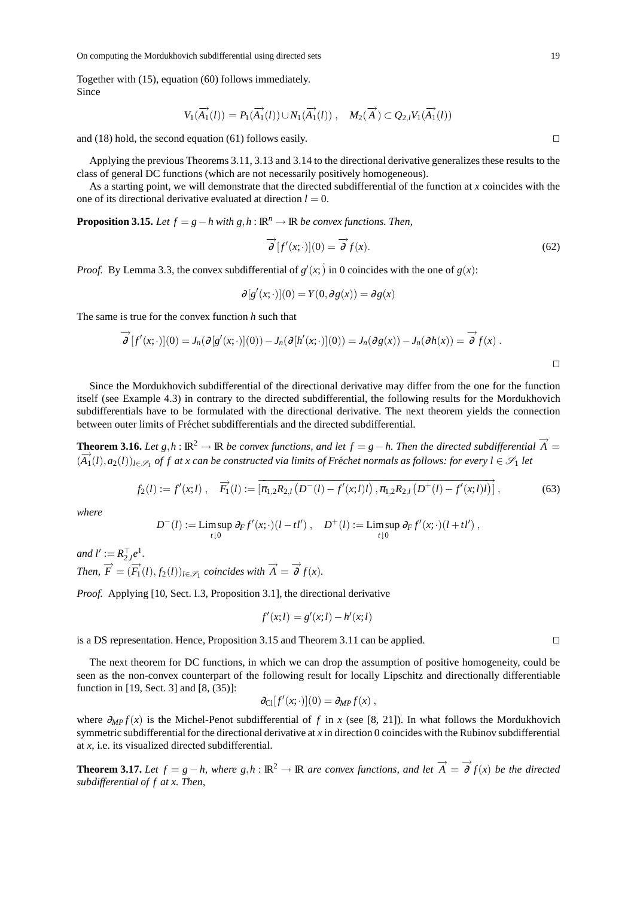Together with (15), equation (60) follows immediately. Since

$$
V_1(\overrightarrow{A_1}(l)) = P_1(\overrightarrow{A_1}(l)) \cup N_1(\overrightarrow{A_1}(l)), \quad M_2(\overrightarrow{A}) \subset Q_{2,l}V_1(\overrightarrow{A_1}(l))
$$

and (18) hold, the second equation (61) follows easily.  $□$ 

Applying the previous Theorems 3.11, 3.13 and 3.14 to the directional derivative generalizes these results to the class of general DC functions (which are not necessarily positively homogeneous).

As a starting point, we will demonstrate that the directed subdifferential of the function at *x* coincides with the one of its directional derivative evaluated at direction  $l = 0$ .

**Proposition 3.15.** *Let*  $f = g - h$  *with*  $g, h : \mathbb{R}^n \to \mathbb{R}$  *be convex functions. Then,* 

$$
\overrightarrow{\partial} [f'(x; \cdot)](0) = \overrightarrow{\partial} f(x).
$$
\n(62)

*Proof.* By Lemma 3.3, the convex subdifferential of  $g'(x; \cdot)$  in 0 coincides with the one of  $g(x)$ :

$$
\partial [g'(x; \cdot)](0) = Y(0, \partial g(x)) = \partial g(x)
$$

The same is true for the convex function *h* such that

$$
\overrightarrow{\partial} [f'(x;\cdot)](0) = J_n(\partial [g'(x;\cdot)](0)) - J_n(\partial [h'(x;\cdot)](0)) = J_n(\partial g(x)) - J_n(\partial h(x)) = \overrightarrow{\partial} f(x).
$$

Since the Mordukhovich subdifferential of the directional derivative may differ from the one for the function itself (see Example 4.3) in contrary to the directed subdifferential, the following results for the Mordukhovich subdifferentials have to be formulated with the directional derivative. The next theorem yields the connection between outer limits of Fréchet subdifferentials and the directed subdifferential.

**Theorem 3.16.** *Let*  $g, h : \mathbb{R}^2 \to \mathbb{R}$  *be convex functions, and let*  $f = g - h$ *. Then the directed subdifferential*  $\overrightarrow{A} =$  $(\overline{A}_1(t), a_2(t))_{t \in \mathscr{S}_1}$  of f at x can be constructed via limits of Fréchet normals as follows: for every  $l \in \mathscr{S}_1$  let

$$
f_2(l) := f'(x; l) , \quad \overrightarrow{F_1}(l) := \left[ \overline{\pi_{1,2} R_{2,l} \left( D^-(l) - f'(x; l) l \right), \pi_{1,2} R_{2,l} \left( D^+(l) - f'(x; l) l \right)} \right], \tag{63}
$$

*where*

$$
D^{-}(l) := \mathop{\rm Limsup}_{t\downarrow 0} \partial_F f'(x;\cdot)(l-tl')\ ,\quad D^{+}(l) := \mathop{\rm Limsup}_{t\downarrow 0} \partial_F f'(x;\cdot)(l+t l')\ ,
$$

 $and l' := R_{2,l}^{\top} e^{1}.$ *Then,*  $\overrightarrow{F} = (\overrightarrow{F_1}(l), f_2(l))_{l \in \mathscr{S}_1}$  coincides with  $\overrightarrow{A} = \overrightarrow{\partial} f(x)$ .

*Proof.* Applying [10, Sect. I.3, Proposition 3.1], the directional derivative

$$
f'(x;l) = g'(x;l) - h'(x;l)
$$

is a DS representation. Hence, Proposition 3.15 and Theorem 3.11 can be applied. ⊓⊔

The next theorem for DC functions, in which we can drop the assumption of positive homogeneity, could be seen as the non-convex counterpart of the following result for locally Lipschitz and directionally differentiable function in [19, Sect. 3] and [8, (35)]:

$$
\partial_{\text{Cl}}[f'(x;\cdot)](0) = \partial_{MP}f(x) ,
$$

where  $\partial_{MP} f(x)$  is the Michel-Penot subdifferential of *f* in *x* (see [8, 21]). In what follows the Mordukhovich symmetric subdifferential for the directional derivative at *x* in direction 0 coincides with the Rubinov subdifferential at *x*, i.e. its visualized directed subdifferential.

**Theorem 3.17.** Let  $f = g - h$ , where  $g, h : \mathbb{R}^2 \to \mathbb{R}$  are convex functions, and let  $\overrightarrow{A} = \overrightarrow{\partial} f(x)$  be the directed *subdifferential of f at x. Then,*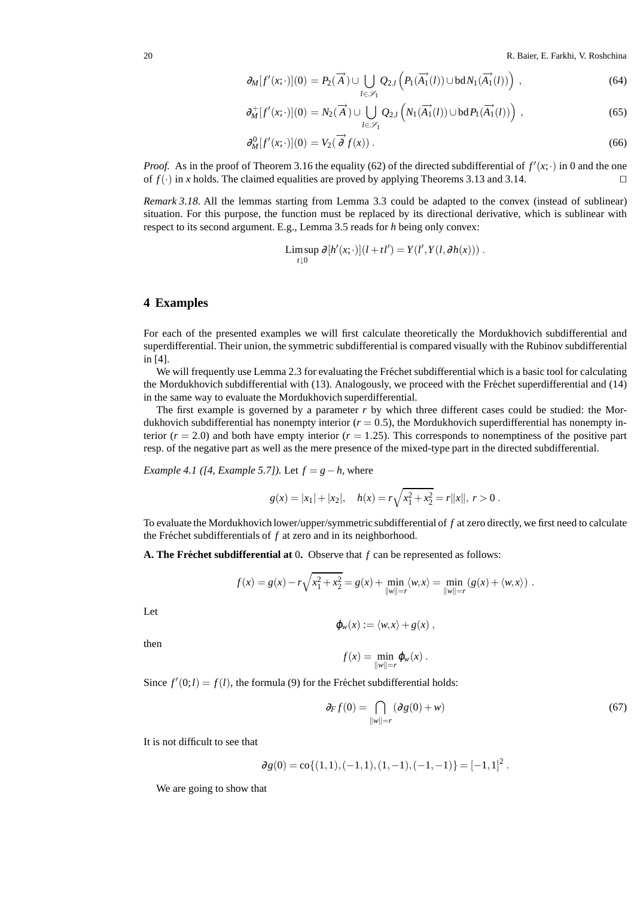20 R. Baier, E. Farkhi, V. Roshchina

$$
\partial_M[f'(x;\cdot)](0) = P_2(\overrightarrow{A}) \cup \bigcup_{l \in \mathscr{S}_1} Q_{2,l} \left( P_1(\overrightarrow{A_1}(l)) \cup bdN_1(\overrightarrow{A_1}(l)) \right) , \qquad (64)
$$

$$
\partial_M^+[f'(x;\cdot)](0) = N_2(\overrightarrow{A}) \cup \bigcup_{l \in \mathscr{S}_1} Q_{2,l}\left(N_1(\overrightarrow{A_1}(l)) \cup \text{bd} P_1(\overrightarrow{A_1}(l))\right),\tag{65}
$$

$$
\partial_M^0[f'(x; \cdot)](0) = V_2(\overrightarrow{\partial} f(x))\,. \tag{66}
$$

*Proof.* As in the proof of Theorem 3.16 the equality (62) of the directed subdifferential of  $f'(x; \cdot)$  in 0 and the one of *f*(·) in *x* holds. The claimed equalities are proved by applying Theorems 3.13 and 3.14. ⊓⊔

*Remark 3.18.* All the lemmas starting from Lemma 3.3 could be adapted to the convex (instead of sublinear) situation. For this purpose, the function must be replaced by its directional derivative, which is sublinear with respect to its second argument. E.g., Lemma 3.5 reads for *h* being only convex:

$$
\limsup_{t\downarrow 0} \partial [h'(x;\cdot)](l+tl') = Y(l',Y(l,\partial h(x))) .
$$

#### **4 Examples**

For each of the presented examples we will first calculate theoretically the Mordukhovich subdifferential and superdifferential. Their union, the symmetric subdifferential is compared visually with the Rubinov subdifferential in [4].

We will frequently use Lemma 2.3 for evaluating the Fréchet subdifferential which is a basic tool for calculating the Mordukhovich subdifferential with (13). Analogously, we proceed with the Fréchet superdifferential and (14) in the same way to evaluate the Mordukhovich superdifferential.

The first example is governed by a parameter *r* by which three different cases could be studied: the Mordukhovich subdifferential has nonempty interior  $(r = 0.5)$ , the Mordukhovich superdifferential has nonempty interior  $(r = 2.0)$  and both have empty interior  $(r = 1.25)$ . This corresponds to nonemptiness of the positive part resp. of the negative part as well as the mere presence of the mixed-type part in the directed subdifferential.

*Example 4.1 ([4, Example 5.7]).* Let  $f = g - h$ , where

$$
g(x) = |x_1| + |x_2|, \quad h(x) = r\sqrt{x_1^2 + x_2^2} = r||x||, \ r > 0.
$$

To evaluate the Mordukhovich lower/upper/symmetric subdifferential of *f* at zero directly, we first need to calculate the Fréchet subdifferentials of  $f$  at zero and in its neighborhood.

**A. The Fréchet subdifferential at** 0. Observe that  $f$  can be represented as follows:

$$
f(x) = g(x) - r\sqrt{x_1^2 + x_2^2} = g(x) + \min_{\|w\|=r} \langle w, x \rangle = \min_{\|w\|=r} (g(x) + \langle w, x \rangle) .
$$

Let

$$
\varphi_w(x) := \langle w, x \rangle + g(x) ,
$$

then

$$
f(x) = \min_{\|w\|=r} \varphi_w(x) .
$$

Since  $f'(0; l) = f(l)$ , the formula (9) for the Fréchet subdifferential holds:

$$
\partial_F f(0) = \bigcap_{\|w\|=r} (\partial g(0) + w) \tag{67}
$$

It is not difficult to see that

$$
\partial g(0)=co\{(1,1),(-1,1),(1,-1),(-1,-1)\}=[-1,1]^2\,.
$$

We are going to show that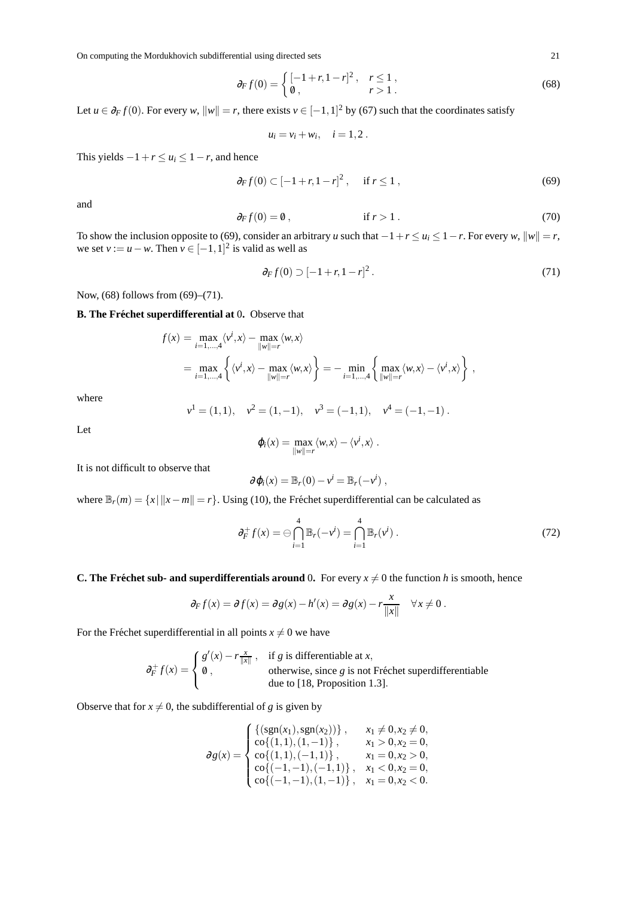$$
\partial_F f(0) = \begin{cases} \left[ -1 + r, 1 - r \right]^2, & r \le 1, \\ 0, & r > 1. \end{cases}
$$
 (68)

Let  $u \in \partial_F f(0)$ . For every *w*,  $||w|| = r$ , there exists  $v \in [-1,1]^2$  by (67) such that the coordinates satisfy

$$
u_i = v_i + w_i, \quad i = 1, 2.
$$

This yields  $-1+r \le u_i \le 1-r$ , and hence

$$
\partial_F f(0) \subset [-1+r, 1-r]^2
$$
, if  $r \le 1$ , (69)

and

$$
\partial_F f(0) = 0, \qquad \text{if } r > 1. \tag{70}
$$

To show the inclusion opposite to (69), consider an arbitrary *u* such that  $-1+r \le u_i \le 1-r$ . For every *w*,  $||w|| = r$ , we set  $v := u - w$ . Then  $v \in [-1, 1]^2$  is valid as well as

$$
\partial_F f(0) \supset [-1+r, 1-r]^2. \tag{71}
$$

Now, (68) follows from (69)–(71).

#### **B.** The Fréchet superdifferential at 0. Observe that

$$
f(x) = \max_{i=1,\dots,4} \langle v^i, x \rangle - \max_{\|w\|=r} \langle w, x \rangle
$$
  
= 
$$
\max_{i=1,\dots,4} \left\{ \langle v^i, x \rangle - \max_{\|w\|=r} \langle w, x \rangle \right\} = - \min_{i=1,\dots,4} \left\{ \max_{\|w\|=r} \langle w, x \rangle - \langle v^i, x \rangle \right\},
$$

where

$$
v1 = (1, 1), v2 = (1, -1), v3 = (-1, 1), v4 = (-1, -1).
$$

Let

$$
\varphi_i(x) = \max_{\|w\|=r} \langle w, x \rangle - \langle v^i, x \rangle.
$$

It is not difficult to observe that

$$
\partial \varphi_i(x) = \mathbb{B}_r(0) - v^i = \mathbb{B}_r(-v^i) ,
$$

where  $\mathbb{B}_r(m) = \{x \mid ||x - m|| = r\}$ . Using (10), the Fréchet superdifferential can be calculated as

$$
\partial_F^+ f(x) = \bigoplus_{i=1}^4 \mathbb{B}_r(-v^i) = \bigcap_{i=1}^4 \mathbb{B}_r(v^i) \,. \tag{72}
$$

#### **C. The Fréchet sub- and superdifferentials around 0.** For every  $x \neq 0$  the function *h* is smooth, hence

$$
\partial_F f(x) = \partial f(x) = \partial g(x) - h'(x) = \partial g(x) - r \frac{x}{\|x\|} \quad \forall x \neq 0.
$$

For the Fréchet superdifferential in all points  $x \neq 0$  we have

$$
\partial_F^+ f(x) = \begin{cases} g'(x) - r \frac{x}{\|x\|}, & \text{if } g \text{ is differentiable at } x, \\ \emptyset, & \text{otherwise, since } g \text{ is not Fréchet superdifferentiable} \\ \text{due to [18, Proposition 1.3].} \end{cases}
$$

Observe that for  $x \neq 0$ , the subdifferential of *g* is given by

$$
\partial g(x) = \begin{cases}\n\{(sgn(x_1), sgn(x_2))\}, & x_1 \neq 0, x_2 \neq 0, \\
co\{(1, 1), (1, -1)\}, & x_1 > 0, x_2 = 0, \\
co\{(1, 1), (-1, 1)\}, & x_1 = 0, x_2 > 0, \\
co\{(1, -1), (-1, 1)\}, & x_1 < 0, x_2 = 0, \\
co\{(1, -1), (1, -1)\}, & x_1 = 0, x_2 < 0.\n\end{cases}
$$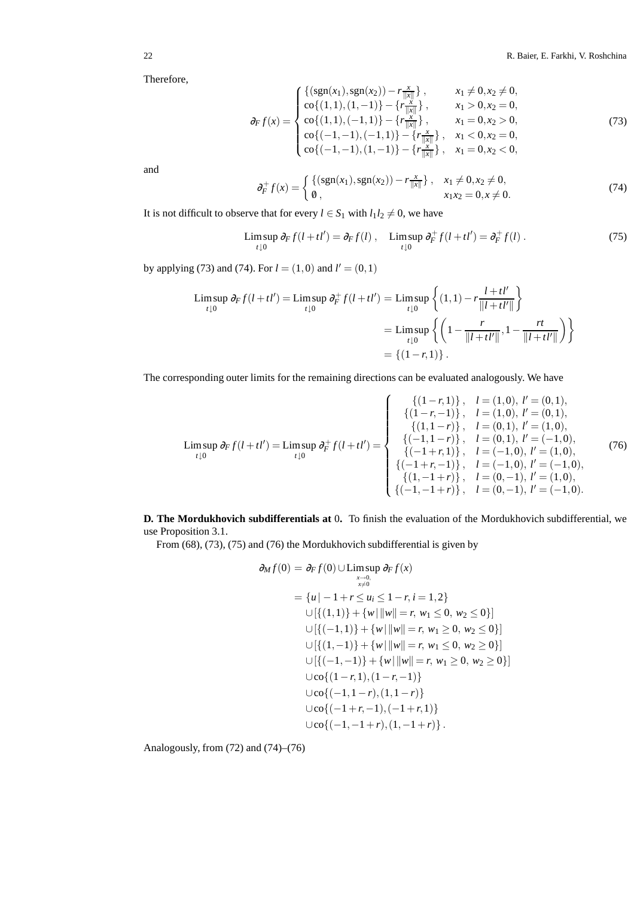Therefore,

$$
\partial_F f(x) = \begin{cases}\n\left\{ (\text{sgn}(x_1), \text{sgn}(x_2)) - r \frac{x}{\|x\|} \right\}, & x_1 \neq 0, x_2 \neq 0, \\
\text{co}\{(1,1), (1,-1)\} - \left\{ r \frac{x}{\|x\|} \right\}, & x_1 > 0, x_2 = 0, \\
\text{co}\{(1,1), (-1,1)\} - \left\{ r \frac{x}{\|x\|} \right\}, & x_1 = 0, x_2 > 0, \\
\text{co}\{(-1,-1), (-1,1)\} - \left\{ r \frac{x}{\|x\|} \right\}, & x_1 < 0, x_2 = 0, \\
\text{co}\{(-1,-1), (1,-1)\} - \left\{ r \frac{x}{\|x\|} \right\}, & x_1 = 0, x_2 < 0,\n\end{cases}
$$
\n(73)

and

$$
\partial_F^+ f(x) = \begin{cases} \{ (\text{sgn}(x_1), \text{sgn}(x_2)) - r \frac{x}{\|x\|} \}, & x_1 \neq 0, x_2 \neq 0, \\ \emptyset, & x_1 x_2 = 0, x \neq 0. \end{cases} (74)
$$

It is not difficult to observe that for every  $l \in S_1$  with  $l_1 l_2 \neq 0$ , we have

$$
\limsup_{t \downarrow 0} \partial_F f(l + t l') = \partial_F f(l) , \quad \limsup_{t \downarrow 0} \partial_F^+ f(l + t l') = \partial_F^+ f(l) . \tag{75}
$$

by applying (73) and (74). For  $l = (1,0)$  and  $l' = (0,1)$ 

$$
\begin{aligned} \text{Limsup } \partial_F f(l + tl') &= \text{Limsup } \partial_F^+ f(l + tl') = \text{Limsup } \left\{ (1, 1) - r \frac{l + tl'}{\|l + tl'\|} \right\} \\ &= \text{Limsup } \left\{ \left( 1 - \frac{r}{\|l + tl'\|}, 1 - \frac{rt}{\|l + tl'\|} \right) \right\} \\ &= \left\{ (1 - r, 1) \right\}. \end{aligned}
$$

The corresponding outer limits for the remaining directions can be evaluated analogously. We have

$$
\text{Limsup}_{t\downarrow 0} \partial_F f(l+tl') = \text{Limsup}_{t\downarrow 0} \partial_F^+ f(l+tl') = \begin{cases}\n\{(1-r,1)\}, & l=(1,0), l'=(0,1), \\
\{(1-r,1)\}, & l=(1,0), l'=(0,1), \\
\{(1,1-r)\}, & l=(0,1), l'=(1,0), \\
\{(-1,1-r)\}, & l=(0,1), l'=(-1,0), \\
\{(1-r,1)\}, & l=(-1,0), l'=(1,0), \\
\{(1-r,1)\}, & l=(-1,0), l'=(1,0), \\
\{(1,-1+r)\}, & l=(0,-1), l'=(1,0), \\
\{(1,-1+r)\}, & l=(0,-1), l'=(1,0), \\
\{(1,-1+r)\}, & l=(0,-1), l'=(1,0).\n\end{cases}
$$
\n(76)

**D. The Mordukhovich subdifferentials at** 0**.** To finish the evaluation of the Mordukhovich subdifferential, we use Proposition 3.1.

From (68), (73), (75) and (76) the Mordukhovich subdifferential is given by

$$
\partial_M f(0) = \partial_F f(0) \cup \limsup_{x \to 0} \partial_F f(x)
$$
\n
$$
= \{u \mid -1 + r \le u_i \le 1 - r, i = 1, 2\}
$$
\n
$$
\cup [\{(1,1)\} + \{w \mid ||w|| = r, w_1 \le 0, w_2 \le 0\}]
$$
\n
$$
\cup [\{(-1,1)\} + \{w \mid ||w|| = r, w_1 \ge 0, w_2 \le 0\}]
$$
\n
$$
\cup [\{(1,-1)\} + \{w \mid ||w|| = r, w_1 \le 0, w_2 \ge 0\}]
$$
\n
$$
\cup [\{(-1,-1)\} + \{w \mid ||w|| = r, w_1 \ge 0, w_2 \ge 0\}]
$$
\n
$$
\cup \{c_0\{(1-r,1),(1-r,-1)\} \cup c_0\{(-1,1-r),(1,1-r)\} \cup c_0\{(-1+r,-1),(-1+r,1)\} \cup c_0\{(-1,-1+r),(1,-1+r)\}.
$$

Analogously, from (72) and (74)–(76)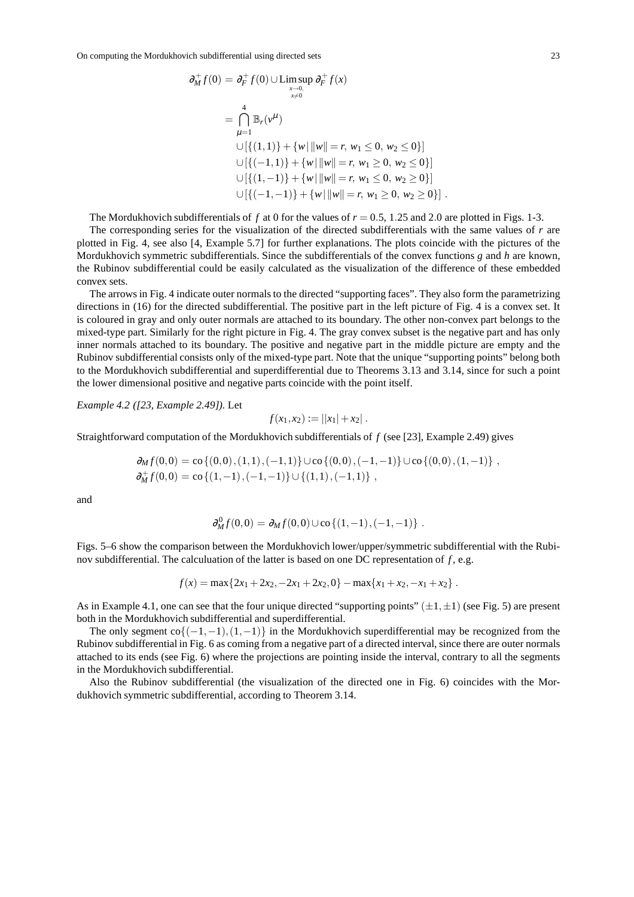$$
\partial_{M}^{+} f(0) = \partial_{F}^{+} f(0) \cup \limsup_{x \to 0, \atop x \neq 0} \partial_{F}^{+} f(x)
$$
\n
$$
= \bigcap_{\mu=1}^{4} \mathbb{B}_{r}(\nu^{\mu})
$$
\n
$$
\cup [\{(1,1)\} + \{w | ||w|| = r, w_{1} \le 0, w_{2} \le 0\}]
$$
\n
$$
\cup [\{(-1,1)\} + \{w | ||w|| = r, w_{1} \ge 0, w_{2} \ge 0\}]
$$
\n
$$
\cup [\{(1,-1)\} + \{w | ||w|| = r, w_{1} \le 0, w_{2} \ge 0\}]
$$
\n
$$
\cup [\{(-1,-1)\} + \{w | ||w|| = r, w_{1} \ge 0, w_{2} \ge 0\}].
$$

The Mordukhovich subdifferentials of f at 0 for the values of  $r = 0.5$ , 1.25 and 2.0 are plotted in Figs. 1-3.

The corresponding series for the visualization of the directed subdifferentials with the same values of *r* are plotted in Fig. 4, see also [4, Example 5.7] for further explanations. The plots coincide with the pictures of the Mordukhovich symmetric subdifferentials. Since the subdifferentials of the convex functions *g* and *h* are known, the Rubinov subdifferential could be easily calculated as the visualization of the difference of these embedded convex sets.

The arrows in Fig. 4 indicate outer normals to the directed "supporting faces". They also form the parametrizing directions in (16) for the directed subdifferential. The positive part in the left picture of Fig. 4 is a convex set. It is coloured in gray and only outer normals are attached to its boundary. The other non-convex part belongs to the mixed-type part. Similarly for the right picture in Fig. 4. The gray convex subset is the negative part and has only inner normals attached to its boundary. The positive and negative part in the middle picture are empty and the Rubinov subdifferential consists only of the mixed-type part. Note that the unique "supporting points" belong both to the Mordukhovich subdifferential and superdifferential due to Theorems 3.13 and 3.14, since for such a point the lower dimensional positive and negative parts coincide with the point itself.

*Example 4.2 ([23, Example 2.49]).* Let

$$
f(x_1,x_2) := ||x_1| + x_2|.
$$

Straightforward computation of the Mordukhovich subdifferentials of *f* (see [23], Example 2.49) gives

$$
\partial_M f(0,0) = \text{co}\left\{(0,0), (1,1), (-1,1)\right\} \cup \text{co}\left\{(0,0), (-1,-1)\right\} \cup \text{co}\left\{(0,0), (1,-1)\right\},\n\partial_M^+ f(0,0) = \text{co}\left\{(1,-1), (-1,-1)\right\} \cup \left\{(1,1), (-1,1)\right\},
$$

and

$$
\partial_M^0 f(0,0) = \partial_M f(0,0) \cup \text{co} \{ (1,-1), (-1,-1) \} .
$$

Figs. 5–6 show the comparison between the Mordukhovich lower/upper/symmetric subdifferential with the Rubinov subdifferential. The calculuation of the latter is based on one DC representation of *f* , e.g.

$$
f(x) = \max\{2x_1 + 2x_2, -2x_1 + 2x_2, 0\} - \max\{x_1 + x_2, -x_1 + x_2\}.
$$

As in Example 4.1, one can see that the four unique directed "supporting points"  $(\pm 1, \pm 1)$  (see Fig. 5) are present both in the Mordukhovich subdifferential and superdifferential.

The only segment  $co{(-1,-1),(1,-1)}$  in the Mordukhovich superdifferential may be recognized from the Rubinov subdifferential in Fig. 6 as coming from a negative part of a directed interval, since there are outer normals attached to its ends (see Fig. 6) where the projections are pointing inside the interval, contrary to all the segments in the Mordukhovich subdifferential.

Also the Rubinov subdifferential (the visualization of the directed one in Fig. 6) coincides with the Mordukhovich symmetric subdifferential, according to Theorem 3.14.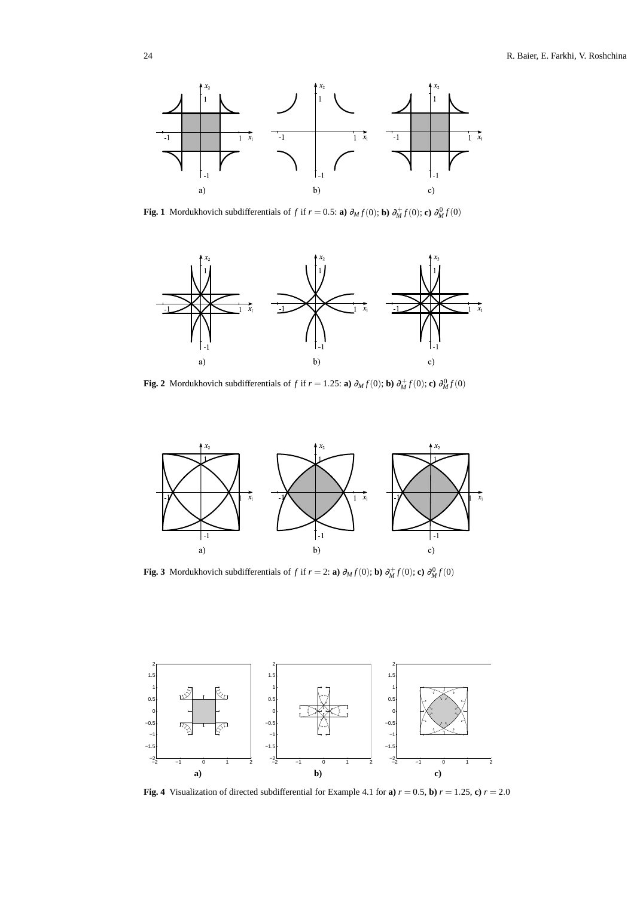

**Fig. 1** Mordukhovich subdifferentials of *f* if  $r = 0.5$ : **a**)  $\partial_M f(0)$ ; **b**)  $\partial_M^+ f(0)$ ; **c**)  $\partial_M^0 f(0)$ 



**Fig. 2** Mordukhovich subdifferentials of *f* if  $r = 1.25$ : **a**)  $\partial_M f(0)$ ; **b**)  $\partial_M^+ f(0)$ ; **c**)  $\partial_M^0 f(0)$ 



**Fig. 3** Mordukhovich subdifferentials of *f* if  $r = 2$ : **a**)  $\partial_M f(0)$ ; **b**)  $\partial_M^+ f(0)$ ; **c**)  $\partial_M^0 f(0)$ 



**Fig. 4** Visualization of directed subdifferential for Example 4.1 for **a**)  $r = 0.5$ , **b**)  $r = 1.25$ , **c**)  $r = 2.0$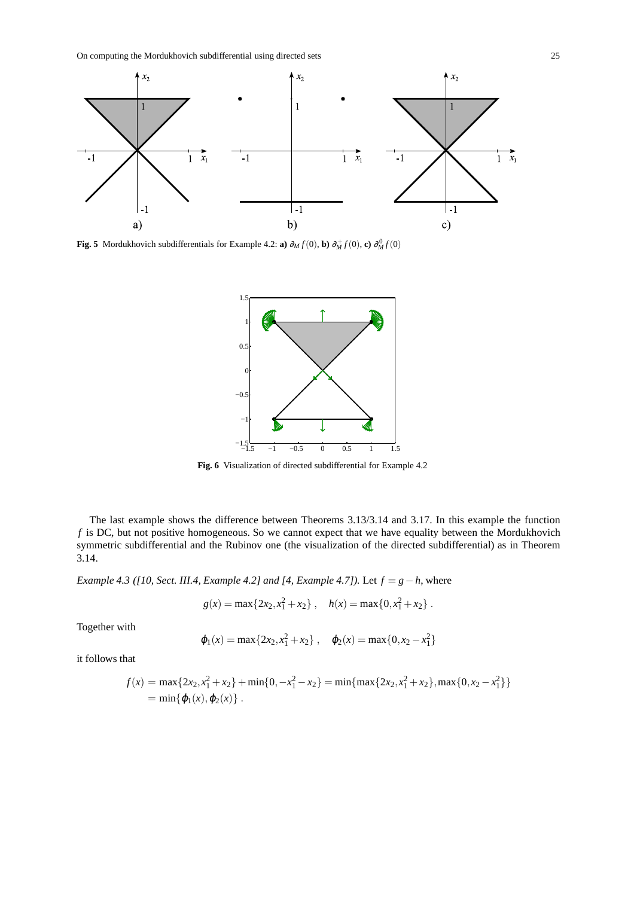

**Fig. 5** Mordukhovich subdifferentials for Example 4.2: **a**)  $\partial_M f(0)$ , **b**)  $\partial_M^+ f(0)$ , **c**)  $\partial_M^0 f(0)$ 



**Fig. 6** Visualization of directed subdifferential for Example 4.2

The last example shows the difference between Theorems 3.13/3.14 and 3.17. In this example the function *f* is DC, but not positive homogeneous. So we cannot expect that we have equality between the Mordukhovich symmetric subdifferential and the Rubinov one (the visualization of the directed subdifferential) as in Theorem 3.14.

*Example 4.3 ([10, Sect. III.4, Example 4.2] and [4, Example 4.7]).* Let *f* = *g*−*h*, where

$$
g(x) = \max\{2x_2, x_1^2 + x_2\}, \quad h(x) = \max\{0, x_1^2 + x_2\}.
$$

Together with

$$
\varphi_1(x) = \max\{2x_2, x_1^2 + x_2\}, \quad \varphi_2(x) = \max\{0, x_2 - x_1^2\}
$$

it follows that

$$
f(x) = \max\{2x_2, x_1^2 + x_2\} + \min\{0, -x_1^2 - x_2\} = \min\{\max\{2x_2, x_1^2 + x_2\}, \max\{0, x_2 - x_1^2\}\}\
$$
  
=  $\min\{\varphi_1(x), \varphi_2(x)\}.$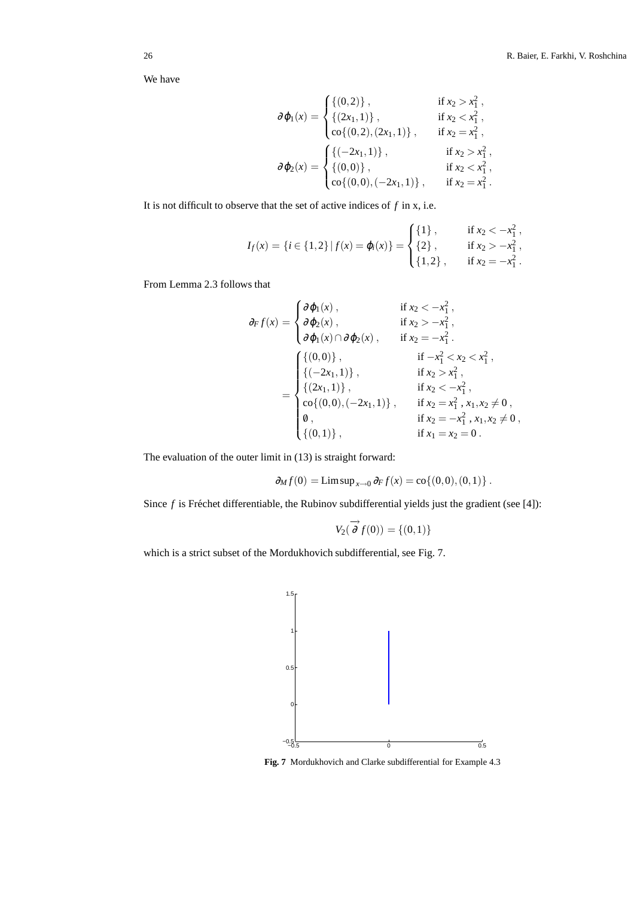We have

$$
\partial \varphi_1(x) = \begin{cases}\n\{(0,2)\}, & \text{if } x_2 > x_1^2, \\
\{(2x_1,1)\}, & \text{if } x_2 < x_1^2, \\
\text{co}\{(0,2),(2x_1,1)\}, & \text{if } x_2 = x_1^2, \\
\end{cases}
$$
\n
$$
\partial \varphi_2(x) = \begin{cases}\n\{(-2x_1,1)\}, & \text{if } x_2 > x_1^2, \\
\{(0,0)\}, & \text{if } x_2 < x_1^2, \\
\text{co}\{(0,0),(-2x_1,1)\}, & \text{if } x_2 = x_1^2.\n\end{cases}
$$

It is not difficult to observe that the set of active indices of *f* in x, i.e.

$$
I_f(x) = \{i \in \{1, 2\} \mid f(x) = \varphi_i(x)\} = \begin{cases} \{1\}, & \text{if } x_2 < -x_1^2, \\ \{2\}, & \text{if } x_2 > -x_1^2, \\ \{1, 2\}, & \text{if } x_2 = -x_1^2. \end{cases}
$$

From Lemma 2.3 follows that

$$
\partial_F f(x) = \begin{cases}\n\partial \varphi_1(x), & \text{if } x_2 < -x_1^2, \\
\partial \varphi_2(x), & \text{if } x_2 > -x_1^2, \\
\partial \varphi_1(x) \cap \partial \varphi_2(x), & \text{if } x_2 = -x_1^2.\n\end{cases}
$$
\n
$$
= \begin{cases}\n\{(0,0)\}, & \text{if } -x_1^2 < x_2 < x_1^2, \\
\{(2x_1,1)\}, & \text{if } x_2 > x_1^2, \\
\{(2x_1,1)\}, & \text{if } x_2 < -x_1^2, \\
\text{co}\{(0,0), (-2x_1,1)\}, & \text{if } x_2 = x_1^2, x_1, x_2 \neq 0, \\
\emptyset, & \text{if } x_2 = -x_1^2, x_1, x_2 \neq 0, \\
\{(0,1)\}, & \text{if } x_1 = x_2 = 0.\n\end{cases}
$$

The evaluation of the outer limit in (13) is straight forward:

$$
\partial_M f(0) = \limsup_{x \to 0} \partial_F f(x) = \text{co}\{(0,0), (0,1)\}.
$$

Since  $f$  is Fréchet differentiable, the Rubinov subdifferential yields just the gradient (see [4]):

$$
V_2(\partial f(0)) = \{(0,1)\}
$$

which is a strict subset of the Mordukhovich subdifferential, see Fig. 7.



**Fig. 7** Mordukhovich and Clarke subdifferential for Example 4.3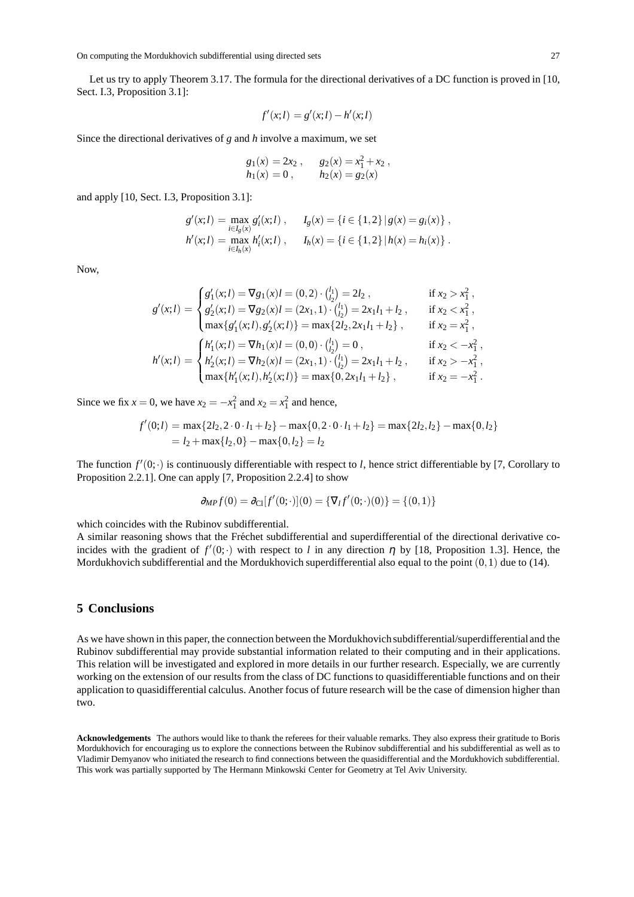Let us try to apply Theorem 3.17. The formula for the directional derivatives of a DC function is proved in [10, Sect. I.3, Proposition 3.1]:

$$
f'(x;l) = g'(x;l) - h'(x;l)
$$

Since the directional derivatives of *g* and *h* involve a maximum, we set

$$
g_1(x) = 2x_2
$$
,  $g_2(x) = x_1^2 + x_2$ ,  
\n $h_1(x) = 0$ ,  $h_2(x) = g_2(x)$ 

and apply [10, Sect. I.3, Proposition 3.1]:

$$
g'(x; l) = \max_{i \in I_g(x)} g'_i(x; l) , \quad I_g(x) = \{i \in \{1, 2\} \mid g(x) = g_i(x)\},
$$
  

$$
h'(x; l) = \max_{i \in I_h(x)} h'_i(x; l) , \quad I_h(x) = \{i \in \{1, 2\} \mid h(x) = h_i(x)\}.
$$

Now,

$$
g'(x;l) = \begin{cases} g'_1(x;l) = \nabla g_1(x)l = (0,2) \cdot \binom{l_1}{l_2} = 2l_2, & \text{if } x_2 > x_1^2, \\ g'_2(x;l) = \nabla g_2(x)l = (2x_1,1) \cdot \binom{l_1}{l_2} = 2x_1l_1 + l_2, & \text{if } x_2 < x_1^2, \\ \max\{g'_1(x;l), g'_2(x;l)\} = \max\{2l_2, 2x_1l_1 + l_2\}, & \text{if } x_2 = x_1^2, \\ h'(x;l) = \begin{cases} h'_1(x;l) = \nabla h_1(x)l = (0,0) \cdot \binom{l_1}{l_2} = 0, & \text{if } x_2 < -x_1^2, \\ h'_2(x;l) = \nabla h_2(x)l = (2x_1,1) \cdot \binom{l_1}{l_2} = 2x_1l_1 + l_2, & \text{if } x_2 > -x_1^2, \\ \max\{h'_1(x;l), h'_2(x;l)\} = \max\{0, 2x_1l_1 + l_2\}, & \text{if } x_2 = -x_1^2. \end{cases}
$$

Since we fix  $x = 0$ , we have  $x_2 = -x_1^2$  and  $x_2 = x_1^2$  and hence,

$$
f'(0;l) = \max\{2l_2, 2 \cdot 0 \cdot l_1 + l_2\} - \max\{0, 2 \cdot 0 \cdot l_1 + l_2\} = \max\{2l_2, l_2\} - \max\{0, l_2\}
$$
  
=  $l_2 + \max\{l_2, 0\} - \max\{0, l_2\} = l_2$ 

The function  $f'(0; \cdot)$  is continuously differentiable with respect to *l*, hence strict differentiable by [7, Corollary to Proposition 2.2.1]. One can apply [7, Proposition 2.2.4] to show

$$
\partial_{MP} f(0) = \partial_{Cl}[f'(0;\cdot)](0) = \{ \nabla_I f'(0;\cdot)(0) \} = \{ (0,1) \}
$$

which coincides with the Rubinov subdifferential.

A similar reasoning shows that the Fréchet subdifferential and superdifferential of the directional derivative coincides with the gradient of  $f'(0; \cdot)$  with respect to *l* in any direction  $\eta$  by [18, Proposition 1.3]. Hence, the Mordukhovich subdifferential and the Mordukhovich superdifferential also equal to the point  $(0,1)$  due to (14).

# **5 Conclusions**

As we have shown in this paper, the connection between the Mordukhovich subdifferential/superdifferential and the Rubinov subdifferential may provide substantial information related to their computing and in their applications. This relation will be investigated and explored in more details in our further research. Especially, we are currently working on the extension of our results from the class of DC functions to quasidifferentiable functions and on their application to quasidifferential calculus. Another focus of future research will be the case of dimension higher than two.

**Acknowledgements** The authors would like to thank the referees for their valuable remarks. They also express their gratitude to Boris Mordukhovich for encouraging us to explore the connections between the Rubinov subdifferential and his subdifferential as well as to Vladimir Demyanov who initiated the research to find connections between the quasidifferential and the Mordukhovich subdifferential. This work was partially supported by The Hermann Minkowski Center for Geometry at Tel Aviv University.